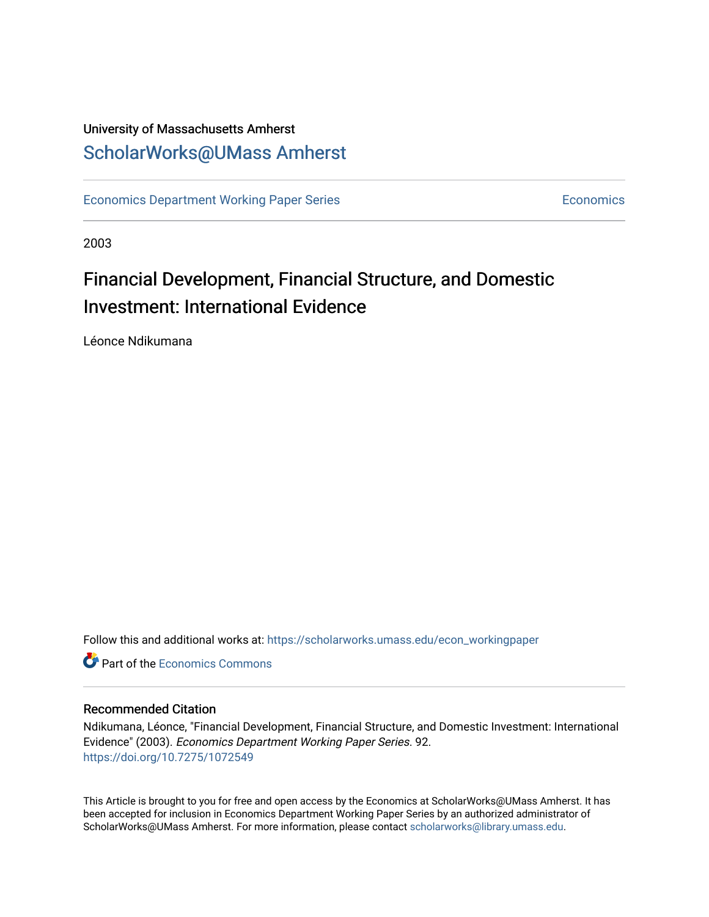## University of Massachusetts Amherst [ScholarWorks@UMass Amherst](https://scholarworks.umass.edu/)

[Economics Department Working Paper Series](https://scholarworks.umass.edu/econ_workingpaper) **Economics** Economics

2003

# Financial Development, Financial Structure, and Domestic Investment: International Evidence

Léonce Ndikumana

Follow this and additional works at: [https://scholarworks.umass.edu/econ\\_workingpaper](https://scholarworks.umass.edu/econ_workingpaper?utm_source=scholarworks.umass.edu%2Fecon_workingpaper%2F92&utm_medium=PDF&utm_campaign=PDFCoverPages) 

**C** Part of the [Economics Commons](http://network.bepress.com/hgg/discipline/340?utm_source=scholarworks.umass.edu%2Fecon_workingpaper%2F92&utm_medium=PDF&utm_campaign=PDFCoverPages)

## Recommended Citation

Ndikumana, Léonce, "Financial Development, Financial Structure, and Domestic Investment: International Evidence" (2003). Economics Department Working Paper Series. 92. <https://doi.org/10.7275/1072549>

This Article is brought to you for free and open access by the Economics at ScholarWorks@UMass Amherst. It has been accepted for inclusion in Economics Department Working Paper Series by an authorized administrator of ScholarWorks@UMass Amherst. For more information, please contact [scholarworks@library.umass.edu.](mailto:scholarworks@library.umass.edu)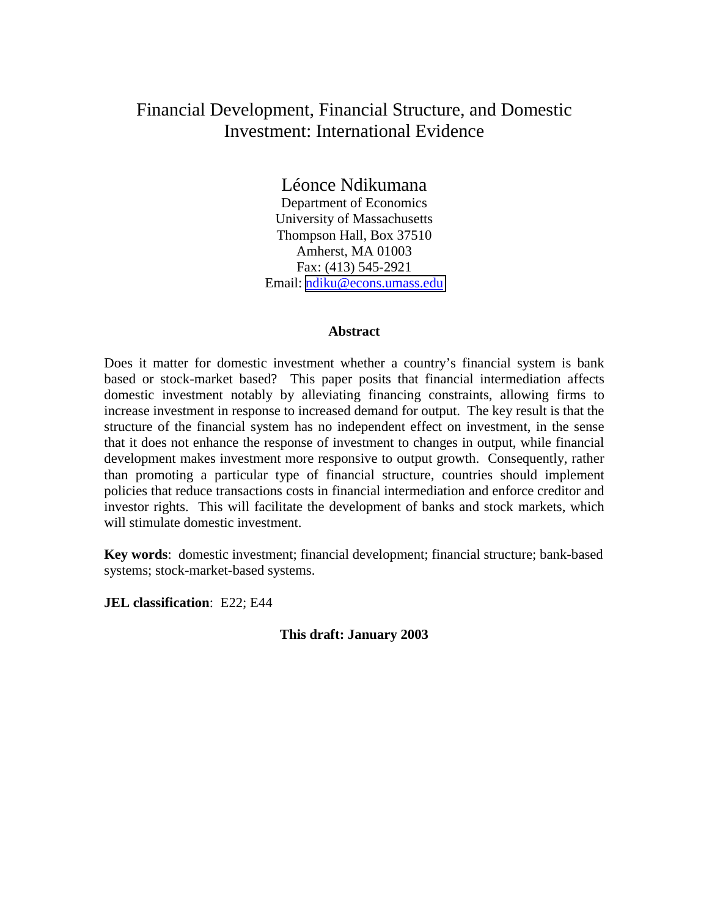## Financial Development, Financial Structure, and Domestic Investment: International Evidence

Léonce Ndikumana

Department of Economics University of Massachusetts Thompson Hall, Box 37510 Amherst, MA 01003 Fax: (413) 545-2921 Email: [ndiku@econs.umass.edu](mailto:ndiku@econs.umass.edu)

## **Abstract**

Does it matter for domestic investment whether a country's financial system is bank based or stock-market based? This paper posits that financial intermediation affects domestic investment notably by alleviating financing constraints, allowing firms to increase investment in response to increased demand for output. The key result is that the structure of the financial system has no independent effect on investment, in the sense that it does not enhance the response of investment to changes in output, while financial development makes investment more responsive to output growth. Consequently, rather than promoting a particular type of financial structure, countries should implement policies that reduce transactions costs in financial intermediation and enforce creditor and investor rights. This will facilitate the development of banks and stock markets, which will stimulate domestic investment.

**Key words**: domestic investment; financial development; financial structure; bank-based systems; stock-market-based systems.

**JEL classification**: E22; E44

**This draft: January 2003**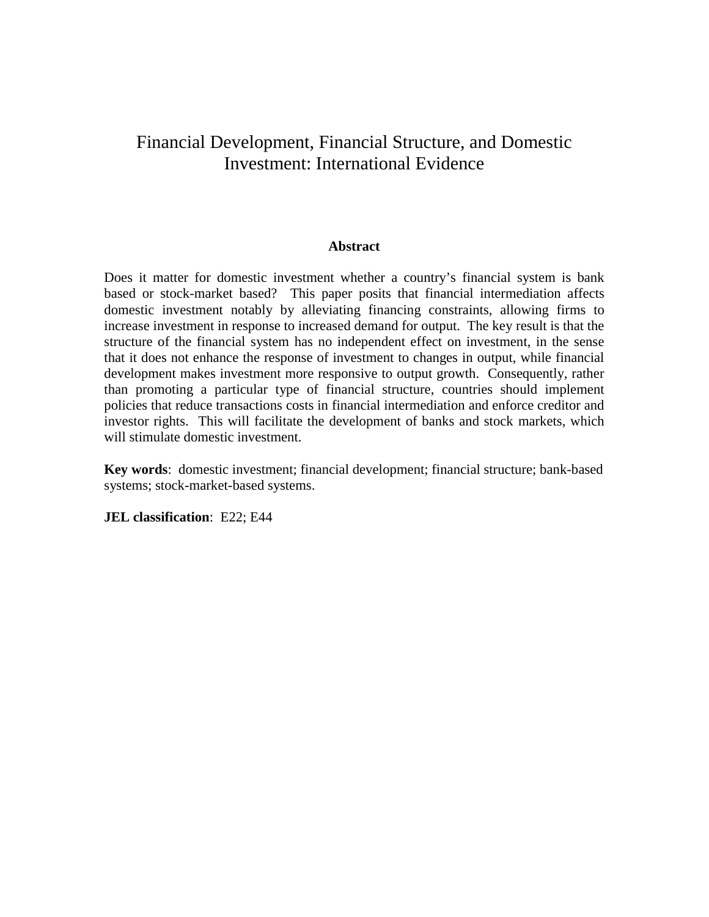## Financial Development, Financial Structure, and Domestic Investment: International Evidence

### **Abstract**

Does it matter for domestic investment whether a country's financial system is bank based or stock-market based? This paper posits that financial intermediation affects domestic investment notably by alleviating financing constraints, allowing firms to increase investment in response to increased demand for output. The key result is that the structure of the financial system has no independent effect on investment, in the sense that it does not enhance the response of investment to changes in output, while financial development makes investment more responsive to output growth. Consequently, rather than promoting a particular type of financial structure, countries should implement policies that reduce transactions costs in financial intermediation and enforce creditor and investor rights. This will facilitate the development of banks and stock markets, which will stimulate domestic investment.

**Key words**: domestic investment; financial development; financial structure; bank-based systems; stock-market-based systems.

**JEL classification**: E22; E44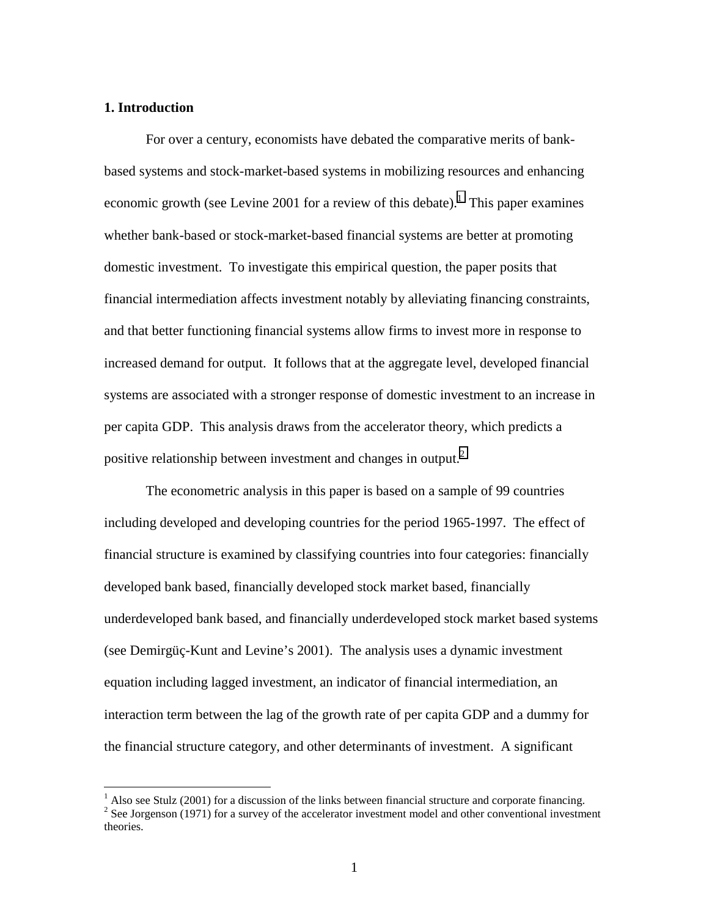## **1. Introduction**

 $\overline{a}$ 

For over a century, economists have debated the comparative merits of bankbased systems and stock-market-based systems in mobilizing resources and enhancing economic growth (see Levine 2001 for a review of this debate).<sup>1</sup> This paper examines whether bank-based or stock-market-based financial systems are better at promoting domestic investment. To investigate this empirical question, the paper posits that financial intermediation affects investment notably by alleviating financing constraints, and that better functioning financial systems allow firms to invest more in response to increased demand for output. It follows that at the aggregate level, developed financial systems are associated with a stronger response of domestic investment to an increase in per capita GDP. This analysis draws from the accelerator theory, which predicts a positive relationship between investment and changes in output.<sup>2</sup>

The econometric analysis in this paper is based on a sample of 99 countries including developed and developing countries for the period 1965-1997. The effect of financial structure is examined by classifying countries into four categories: financially developed bank based, financially developed stock market based, financially underdeveloped bank based, and financially underdeveloped stock market based systems (see Demirgüç-Kunt and Levine's 2001). The analysis uses a dynamic investment equation including lagged investment, an indicator of financial intermediation, an interaction term between the lag of the growth rate of per capita GDP and a dummy for the financial structure category, and other determinants of investment. A significant

 $<sup>1</sup>$  Also see Stulz (2001) for a discussion of the links between financial structure and corporate financing.</sup>  $2^2$  See Jorgenson (1971) for a survey of the accelerator investment model and other conventional investment theories.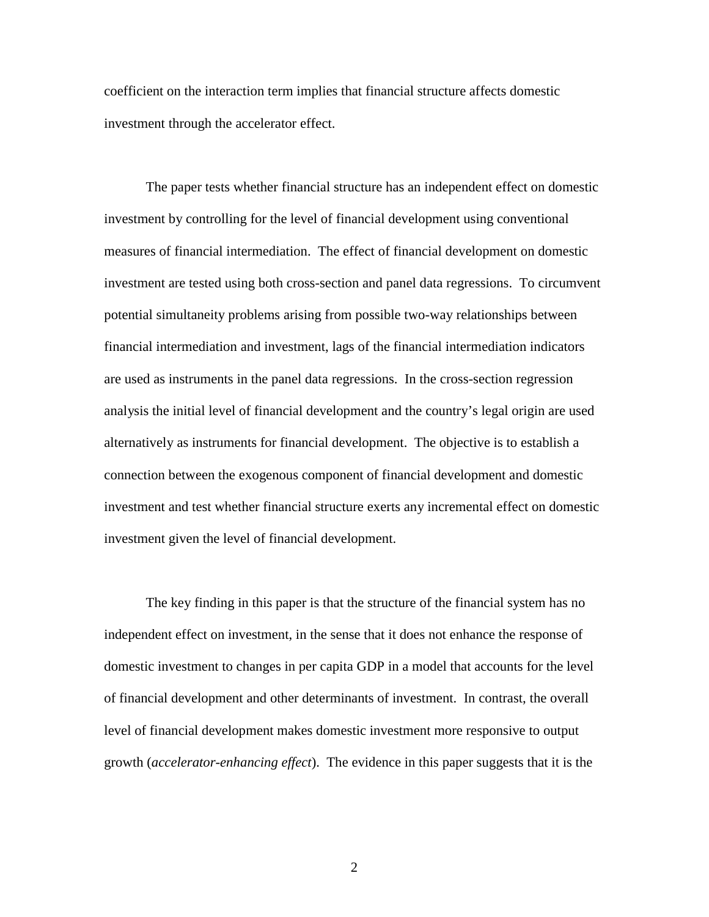coefficient on the interaction term implies that financial structure affects domestic investment through the accelerator effect.

The paper tests whether financial structure has an independent effect on domestic investment by controlling for the level of financial development using conventional measures of financial intermediation. The effect of financial development on domestic investment are tested using both cross-section and panel data regressions. To circumvent potential simultaneity problems arising from possible two-way relationships between financial intermediation and investment, lags of the financial intermediation indicators are used as instruments in the panel data regressions. In the cross-section regression analysis the initial level of financial development and the country's legal origin are used alternatively as instruments for financial development. The objective is to establish a connection between the exogenous component of financial development and domestic investment and test whether financial structure exerts any incremental effect on domestic investment given the level of financial development.

The key finding in this paper is that the structure of the financial system has no independent effect on investment, in the sense that it does not enhance the response of domestic investment to changes in per capita GDP in a model that accounts for the level of financial development and other determinants of investment. In contrast, the overall level of financial development makes domestic investment more responsive to output growth (*accelerator-enhancing effect*). The evidence in this paper suggests that it is the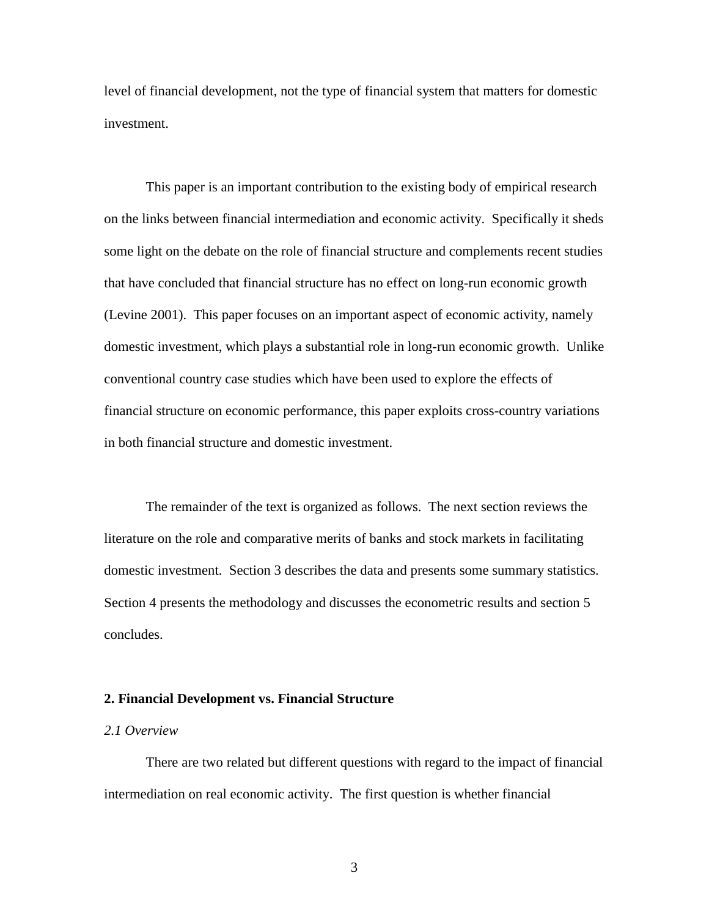level of financial development, not the type of financial system that matters for domestic investment.

This paper is an important contribution to the existing body of empirical research on the links between financial intermediation and economic activity. Specifically it sheds some light on the debate on the role of financial structure and complements recent studies that have concluded that financial structure has no effect on long-run economic growth (Levine 2001). This paper focuses on an important aspect of economic activity, namely domestic investment, which plays a substantial role in long-run economic growth. Unlike conventional country case studies which have been used to explore the effects of financial structure on economic performance, this paper exploits cross-country variations in both financial structure and domestic investment.

 The remainder of the text is organized as follows. The next section reviews the literature on the role and comparative merits of banks and stock markets in facilitating domestic investment. Section 3 describes the data and presents some summary statistics. Section 4 presents the methodology and discusses the econometric results and section 5 concludes.

#### **2. Financial Development vs. Financial Structure**

### *2.1 Overview*

There are two related but different questions with regard to the impact of financial intermediation on real economic activity. The first question is whether financial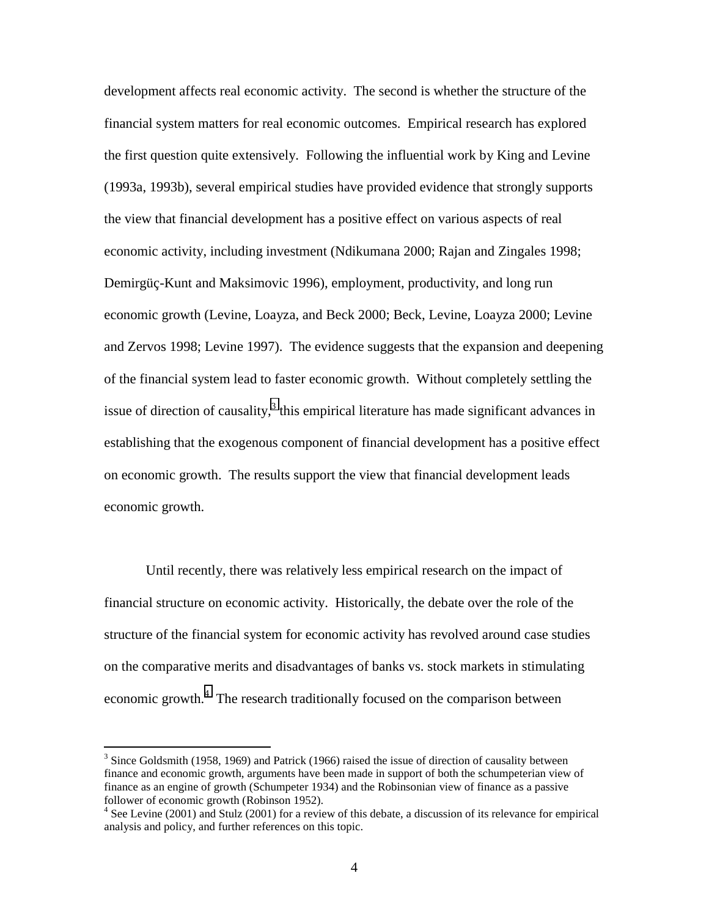development affects real economic activity. The second is whether the structure of the financial system matters for real economic outcomes. Empirical research has explored the first question quite extensively. Following the influential work by King and Levine (1993a, 1993b), several empirical studies have provided evidence that strongly supports the view that financial development has a positive effect on various aspects of real economic activity, including investment (Ndikumana 2000; Rajan and Zingales 1998; Demirgüç-Kunt and Maksimovic 1996), employment, productivity, and long run economic growth (Levine, Loayza, and Beck 2000; Beck, Levine, Loayza 2000; Levine and Zervos 1998; Levine 1997). The evidence suggests that the expansion and deepening of the financial system lead to faster economic growth. Without completely settling the issue of direction of causality, $3$  this empirical literature has made significant advances in establishing that the exogenous component of financial development has a positive effect on economic growth. The results support the view that financial development leads economic growth.

Until recently, there was relatively less empirical research on the impact of financial structure on economic activity. Historically, the debate over the role of the structure of the financial system for economic activity has revolved around case studies on the comparative merits and disadvantages of banks vs. stock markets in stimulating economic growth.<sup>4</sup> The research traditionally focused on the comparison between

 $\overline{a}$ 

 $3$  Since Goldsmith (1958, 1969) and Patrick (1966) raised the issue of direction of causality between finance and economic growth, arguments have been made in support of both the schumpeterian view of finance as an engine of growth (Schumpeter 1934) and the Robinsonian view of finance as a passive follower of economic growth (Robinson 1952).

<sup>&</sup>lt;sup>4</sup> See Levine (2001) and Stulz (2001) for a review of this debate, a discussion of its relevance for empirical analysis and policy, and further references on this topic.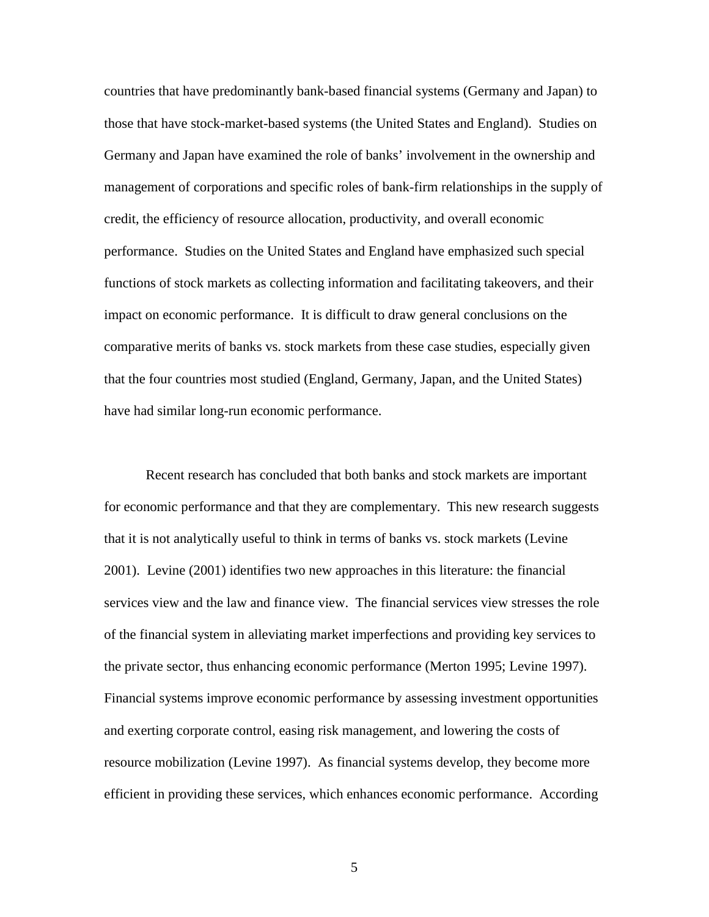countries that have predominantly bank-based financial systems (Germany and Japan) to those that have stock-market-based systems (the United States and England). Studies on Germany and Japan have examined the role of banks' involvement in the ownership and management of corporations and specific roles of bank-firm relationships in the supply of credit, the efficiency of resource allocation, productivity, and overall economic performance. Studies on the United States and England have emphasized such special functions of stock markets as collecting information and facilitating takeovers, and their impact on economic performance. It is difficult to draw general conclusions on the comparative merits of banks vs. stock markets from these case studies, especially given that the four countries most studied (England, Germany, Japan, and the United States) have had similar long-run economic performance.

Recent research has concluded that both banks and stock markets are important for economic performance and that they are complementary. This new research suggests that it is not analytically useful to think in terms of banks vs. stock markets (Levine 2001). Levine (2001) identifies two new approaches in this literature: the financial services view and the law and finance view. The financial services view stresses the role of the financial system in alleviating market imperfections and providing key services to the private sector, thus enhancing economic performance (Merton 1995; Levine 1997). Financial systems improve economic performance by assessing investment opportunities and exerting corporate control, easing risk management, and lowering the costs of resource mobilization (Levine 1997). As financial systems develop, they become more efficient in providing these services, which enhances economic performance. According

 $\overline{5}$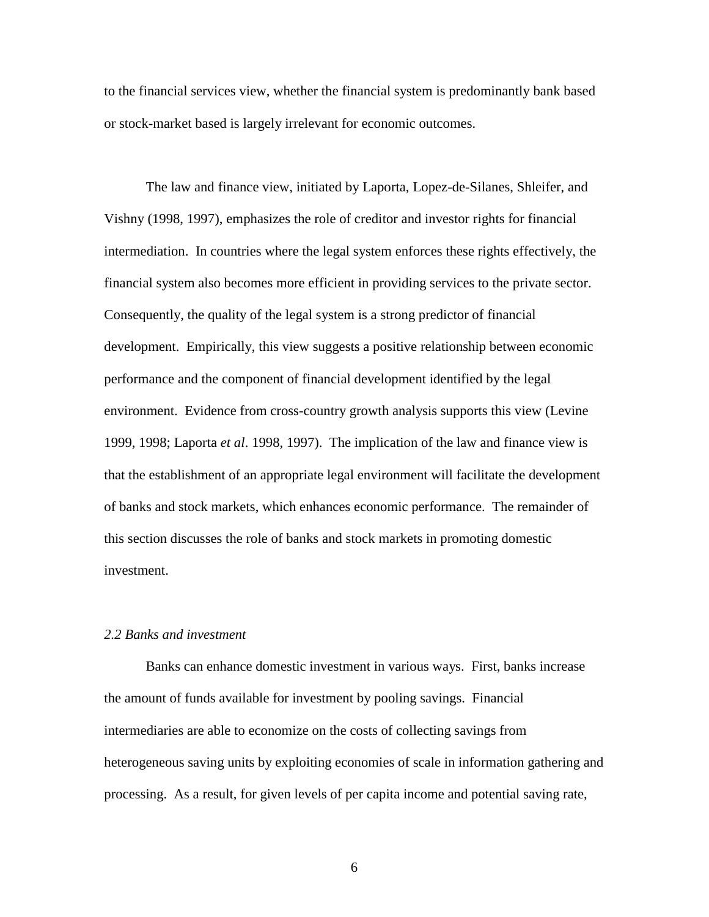to the financial services view, whether the financial system is predominantly bank based or stock-market based is largely irrelevant for economic outcomes.

The law and finance view, initiated by Laporta, Lopez-de-Silanes, Shleifer, and Vishny (1998, 1997), emphasizes the role of creditor and investor rights for financial intermediation. In countries where the legal system enforces these rights effectively, the financial system also becomes more efficient in providing services to the private sector. Consequently, the quality of the legal system is a strong predictor of financial development. Empirically, this view suggests a positive relationship between economic performance and the component of financial development identified by the legal environment. Evidence from cross-country growth analysis supports this view (Levine 1999, 1998; Laporta *et al*. 1998, 1997). The implication of the law and finance view is that the establishment of an appropriate legal environment will facilitate the development of banks and stock markets, which enhances economic performance. The remainder of this section discusses the role of banks and stock markets in promoting domestic investment.

## *2.2 Banks and investment*

 Banks can enhance domestic investment in various ways. First, banks increase the amount of funds available for investment by pooling savings. Financial intermediaries are able to economize on the costs of collecting savings from heterogeneous saving units by exploiting economies of scale in information gathering and processing. As a result, for given levels of per capita income and potential saving rate,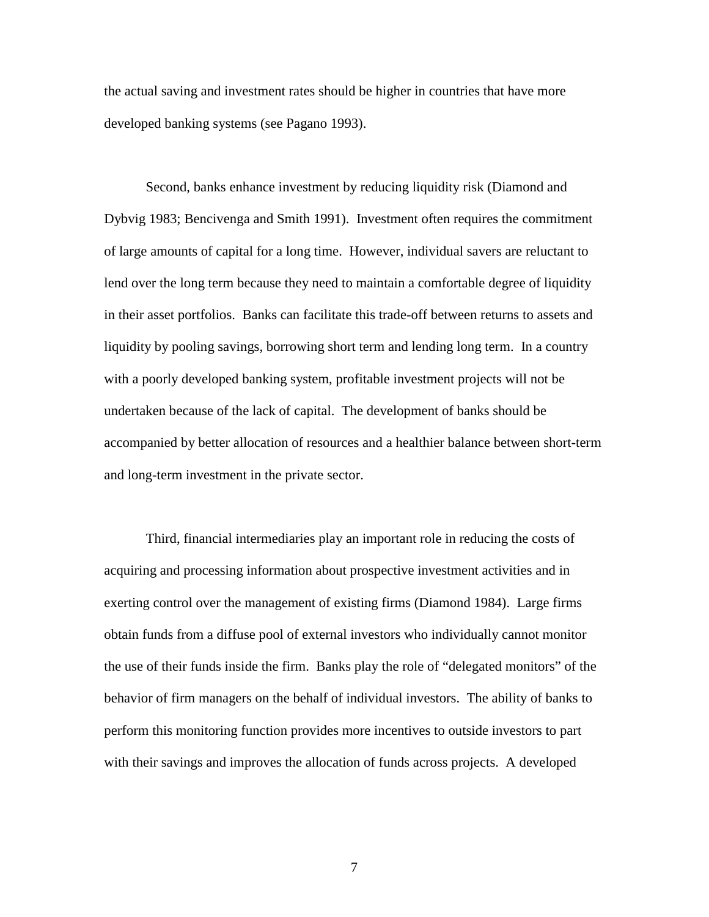the actual saving and investment rates should be higher in countries that have more developed banking systems (see Pagano 1993).

 Second, banks enhance investment by reducing liquidity risk (Diamond and Dybvig 1983; Bencivenga and Smith 1991). Investment often requires the commitment of large amounts of capital for a long time. However, individual savers are reluctant to lend over the long term because they need to maintain a comfortable degree of liquidity in their asset portfolios. Banks can facilitate this trade-off between returns to assets and liquidity by pooling savings, borrowing short term and lending long term. In a country with a poorly developed banking system, profitable investment projects will not be undertaken because of the lack of capital. The development of banks should be accompanied by better allocation of resources and a healthier balance between short-term and long-term investment in the private sector.

 Third, financial intermediaries play an important role in reducing the costs of acquiring and processing information about prospective investment activities and in exerting control over the management of existing firms (Diamond 1984). Large firms obtain funds from a diffuse pool of external investors who individually cannot monitor the use of their funds inside the firm. Banks play the role of "delegated monitors" of the behavior of firm managers on the behalf of individual investors. The ability of banks to perform this monitoring function provides more incentives to outside investors to part with their savings and improves the allocation of funds across projects. A developed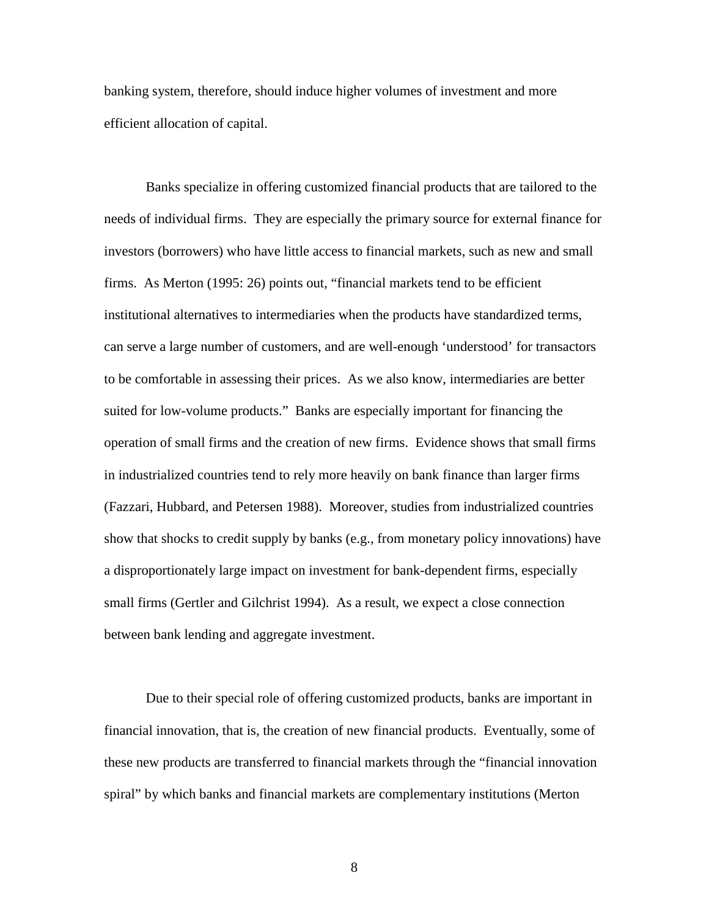banking system, therefore, should induce higher volumes of investment and more efficient allocation of capital.

Banks specialize in offering customized financial products that are tailored to the needs of individual firms. They are especially the primary source for external finance for investors (borrowers) who have little access to financial markets, such as new and small firms. As Merton (1995: 26) points out, "financial markets tend to be efficient institutional alternatives to intermediaries when the products have standardized terms, can serve a large number of customers, and are well-enough 'understood' for transactors to be comfortable in assessing their prices. As we also know, intermediaries are better suited for low-volume products." Banks are especially important for financing the operation of small firms and the creation of new firms. Evidence shows that small firms in industrialized countries tend to rely more heavily on bank finance than larger firms (Fazzari, Hubbard, and Petersen 1988). Moreover, studies from industrialized countries show that shocks to credit supply by banks (e.g., from monetary policy innovations) have a disproportionately large impact on investment for bank-dependent firms, especially small firms (Gertler and Gilchrist 1994). As a result, we expect a close connection between bank lending and aggregate investment.

 Due to their special role of offering customized products, banks are important in financial innovation, that is, the creation of new financial products. Eventually, some of these new products are transferred to financial markets through the "financial innovation spiral" by which banks and financial markets are complementary institutions (Merton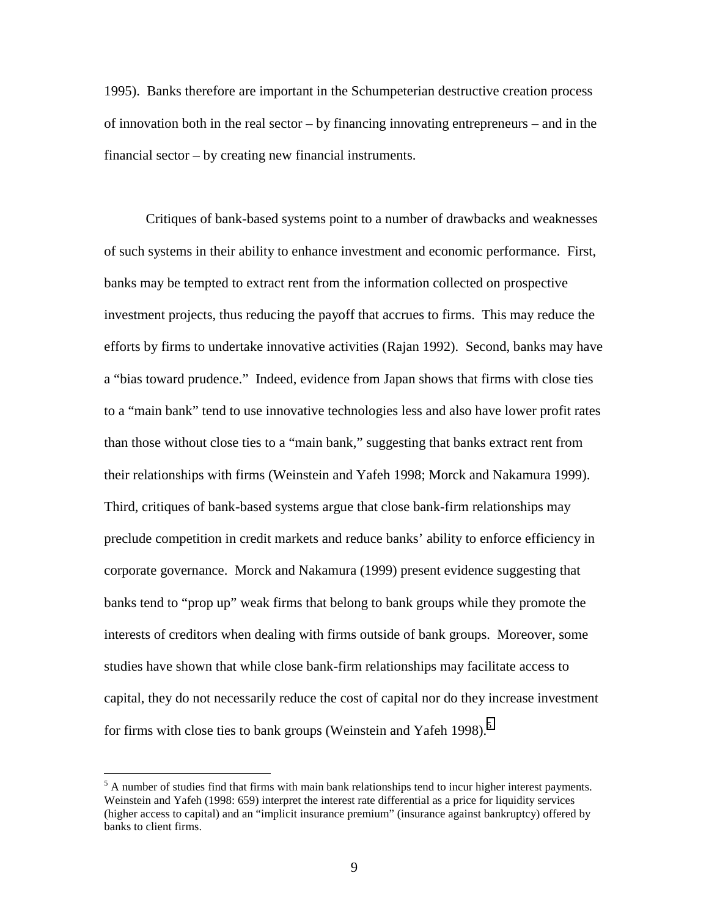1995). Banks therefore are important in the Schumpeterian destructive creation process of innovation both in the real sector – by financing innovating entrepreneurs – and in the financial sector – by creating new financial instruments.

 Critiques of bank-based systems point to a number of drawbacks and weaknesses of such systems in their ability to enhance investment and economic performance. First, banks may be tempted to extract rent from the information collected on prospective investment projects, thus reducing the payoff that accrues to firms. This may reduce the efforts by firms to undertake innovative activities (Rajan 1992). Second, banks may have a "bias toward prudence." Indeed, evidence from Japan shows that firms with close ties to a "main bank" tend to use innovative technologies less and also have lower profit rates than those without close ties to a "main bank," suggesting that banks extract rent from their relationships with firms (Weinstein and Yafeh 1998; Morck and Nakamura 1999). Third, critiques of bank-based systems argue that close bank-firm relationships may preclude competition in credit markets and reduce banks' ability to enforce efficiency in corporate governance. Morck and Nakamura (1999) present evidence suggesting that banks tend to "prop up" weak firms that belong to bank groups while they promote the interests of creditors when dealing with firms outside of bank groups. Moreover, some studies have shown that while close bank-firm relationships may facilitate access to capital, they do not necessarily reduce the cost of capital nor do they increase investment for firms with close ties to bank groups (Weinstein and Yafeh 1998).<sup>5</sup>

 $\overline{a}$ 

 $<sup>5</sup>$  A number of studies find that firms with main bank relationships tend to incur higher interest payments.</sup> Weinstein and Yafeh (1998: 659) interpret the interest rate differential as a price for liquidity services (higher access to capital) and an "implicit insurance premium" (insurance against bankruptcy) offered by banks to client firms.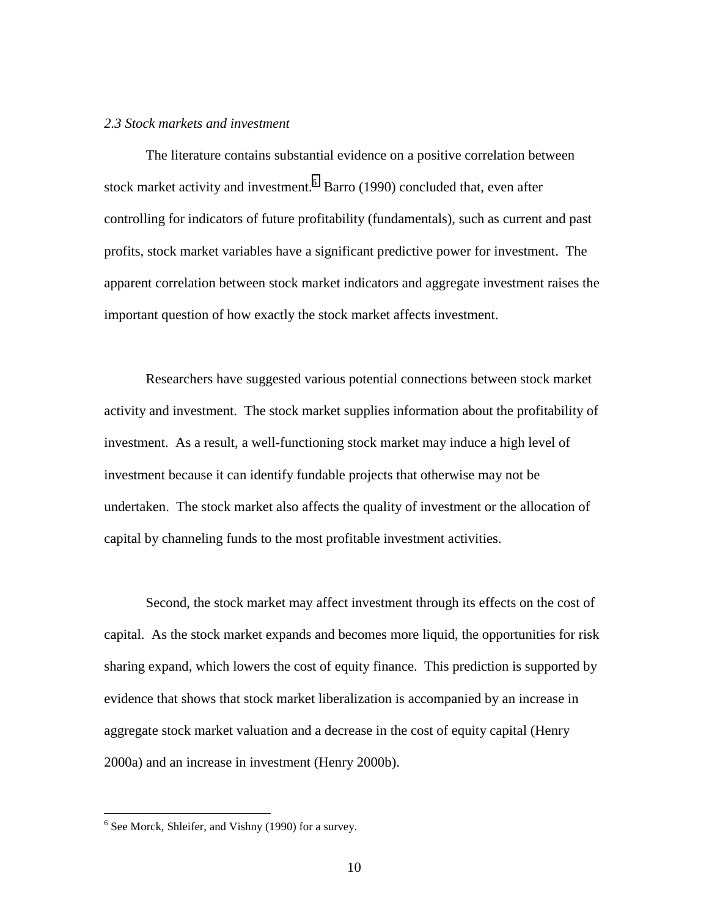### *2.3 Stock markets and investment*

 The literature contains substantial evidence on a positive correlation between stock market activity and investment.  $6$  Barro (1990) concluded that, even after controlling for indicators of future profitability (fundamentals), such as current and past profits, stock market variables have a significant predictive power for investment. The apparent correlation between stock market indicators and aggregate investment raises the important question of how exactly the stock market affects investment.

 Researchers have suggested various potential connections between stock market activity and investment. The stock market supplies information about the profitability of investment. As a result, a well-functioning stock market may induce a high level of investment because it can identify fundable projects that otherwise may not be undertaken. The stock market also affects the quality of investment or the allocation of capital by channeling funds to the most profitable investment activities.

 Second, the stock market may affect investment through its effects on the cost of capital. As the stock market expands and becomes more liquid, the opportunities for risk sharing expand, which lowers the cost of equity finance. This prediction is supported by evidence that shows that stock market liberalization is accompanied by an increase in aggregate stock market valuation and a decrease in the cost of equity capital (Henry 2000a) and an increase in investment (Henry 2000b).

 $\overline{a}$ 

<sup>&</sup>lt;sup>6</sup> See Morck, Shleifer, and Vishny (1990) for a survey.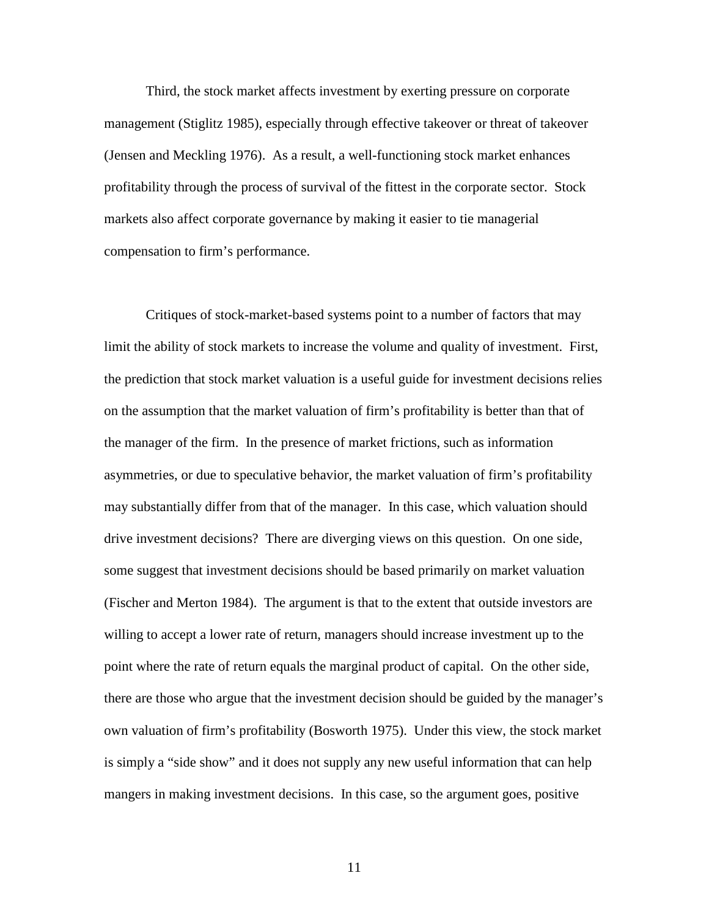Third, the stock market affects investment by exerting pressure on corporate management (Stiglitz 1985), especially through effective takeover or threat of takeover (Jensen and Meckling 1976). As a result, a well-functioning stock market enhances profitability through the process of survival of the fittest in the corporate sector. Stock markets also affect corporate governance by making it easier to tie managerial compensation to firm's performance.

 Critiques of stock-market-based systems point to a number of factors that may limit the ability of stock markets to increase the volume and quality of investment. First, the prediction that stock market valuation is a useful guide for investment decisions relies on the assumption that the market valuation of firm's profitability is better than that of the manager of the firm. In the presence of market frictions, such as information asymmetries, or due to speculative behavior, the market valuation of firm's profitability may substantially differ from that of the manager. In this case, which valuation should drive investment decisions? There are diverging views on this question. On one side, some suggest that investment decisions should be based primarily on market valuation (Fischer and Merton 1984). The argument is that to the extent that outside investors are willing to accept a lower rate of return, managers should increase investment up to the point where the rate of return equals the marginal product of capital. On the other side, there are those who argue that the investment decision should be guided by the manager's own valuation of firm's profitability (Bosworth 1975). Under this view, the stock market is simply a "side show" and it does not supply any new useful information that can help mangers in making investment decisions. In this case, so the argument goes, positive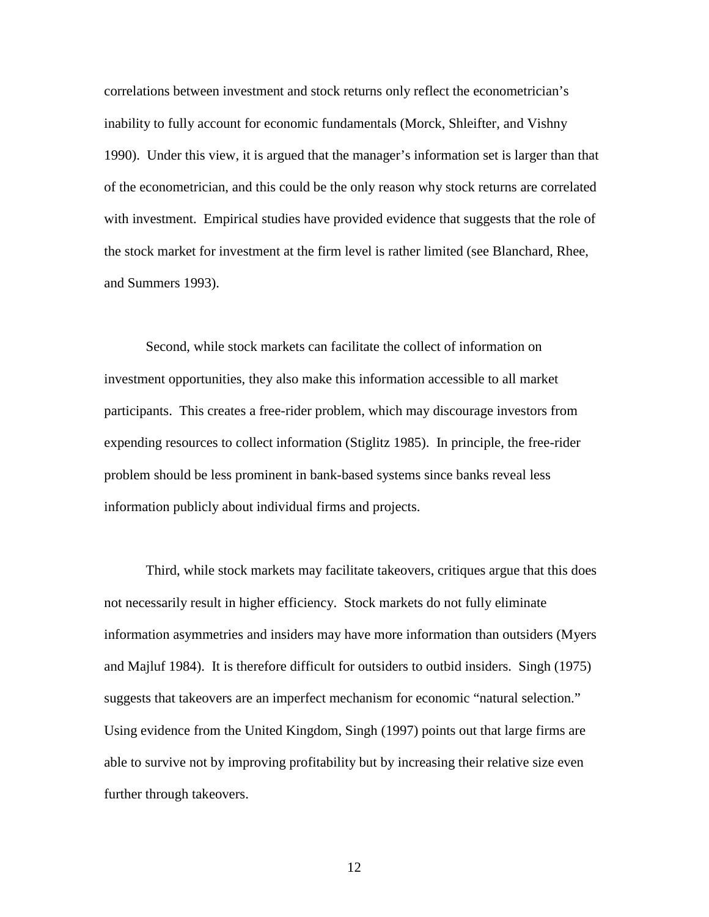correlations between investment and stock returns only reflect the econometrician's inability to fully account for economic fundamentals (Morck, Shleifter, and Vishny 1990). Under this view, it is argued that the manager's information set is larger than that of the econometrician, and this could be the only reason why stock returns are correlated with investment. Empirical studies have provided evidence that suggests that the role of the stock market for investment at the firm level is rather limited (see Blanchard, Rhee, and Summers 1993).

Second, while stock markets can facilitate the collect of information on investment opportunities, they also make this information accessible to all market participants. This creates a free-rider problem, which may discourage investors from expending resources to collect information (Stiglitz 1985). In principle, the free-rider problem should be less prominent in bank-based systems since banks reveal less information publicly about individual firms and projects.

Third, while stock markets may facilitate takeovers, critiques argue that this does not necessarily result in higher efficiency. Stock markets do not fully eliminate information asymmetries and insiders may have more information than outsiders (Myers and Majluf 1984). It is therefore difficult for outsiders to outbid insiders. Singh (1975) suggests that takeovers are an imperfect mechanism for economic "natural selection." Using evidence from the United Kingdom, Singh (1997) points out that large firms are able to survive not by improving profitability but by increasing their relative size even further through takeovers.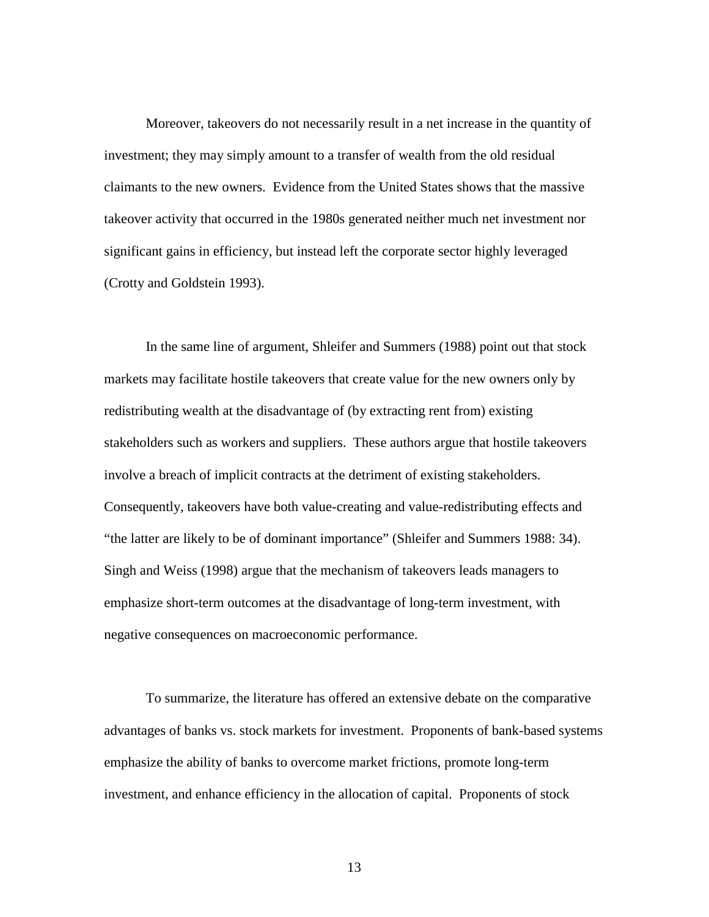Moreover, takeovers do not necessarily result in a net increase in the quantity of investment; they may simply amount to a transfer of wealth from the old residual claimants to the new owners. Evidence from the United States shows that the massive takeover activity that occurred in the 1980s generated neither much net investment nor significant gains in efficiency, but instead left the corporate sector highly leveraged (Crotty and Goldstein 1993).

In the same line of argument, Shleifer and Summers (1988) point out that stock markets may facilitate hostile takeovers that create value for the new owners only by redistributing wealth at the disadvantage of (by extracting rent from) existing stakeholders such as workers and suppliers. These authors argue that hostile takeovers involve a breach of implicit contracts at the detriment of existing stakeholders. Consequently, takeovers have both value-creating and value-redistributing effects and "the latter are likely to be of dominant importance" (Shleifer and Summers 1988: 34). Singh and Weiss (1998) argue that the mechanism of takeovers leads managers to emphasize short-term outcomes at the disadvantage of long-term investment, with negative consequences on macroeconomic performance.

To summarize, the literature has offered an extensive debate on the comparative advantages of banks vs. stock markets for investment. Proponents of bank-based systems emphasize the ability of banks to overcome market frictions, promote long-term investment, and enhance efficiency in the allocation of capital. Proponents of stock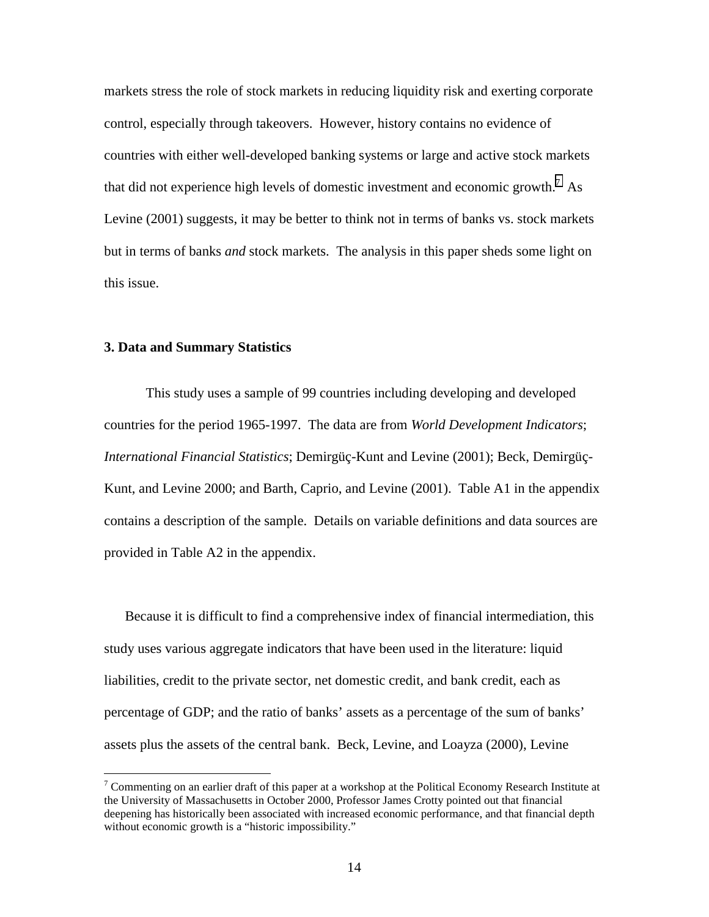markets stress the role of stock markets in reducing liquidity risk and exerting corporate control, especially through takeovers. However, history contains no evidence of countries with either well-developed banking systems or large and active stock markets that did not experience high levels of domestic investment and economic growth.<sup>7</sup> As Levine (2001) suggests, it may be better to think not in terms of banks vs. stock markets but in terms of banks *and* stock markets. The analysis in this paper sheds some light on this issue.

### **3. Data and Summary Statistics**

 $\overline{a}$ 

 This study uses a sample of 99 countries including developing and developed countries for the period 1965-1997. The data are from *World Development Indicators*; *International Financial Statistics*; Demirgüç-Kunt and Levine (2001); Beck, Demirgüç-Kunt, and Levine 2000; and Barth, Caprio, and Levine (2001). Table A1 in the appendix contains a description of the sample. Details on variable definitions and data sources are provided in Table A2 in the appendix.

Because it is difficult to find a comprehensive index of financial intermediation, this study uses various aggregate indicators that have been used in the literature: liquid liabilities, credit to the private sector, net domestic credit, and bank credit, each as percentage of GDP; and the ratio of banks' assets as a percentage of the sum of banks' assets plus the assets of the central bank. Beck, Levine, and Loayza (2000), Levine

<sup>&</sup>lt;sup>7</sup> Commenting on an earlier draft of this paper at a workshop at the Political Economy Research Institute at the University of Massachusetts in October 2000, Professor James Crotty pointed out that financial deepening has historically been associated with increased economic performance, and that financial depth without economic growth is a "historic impossibility."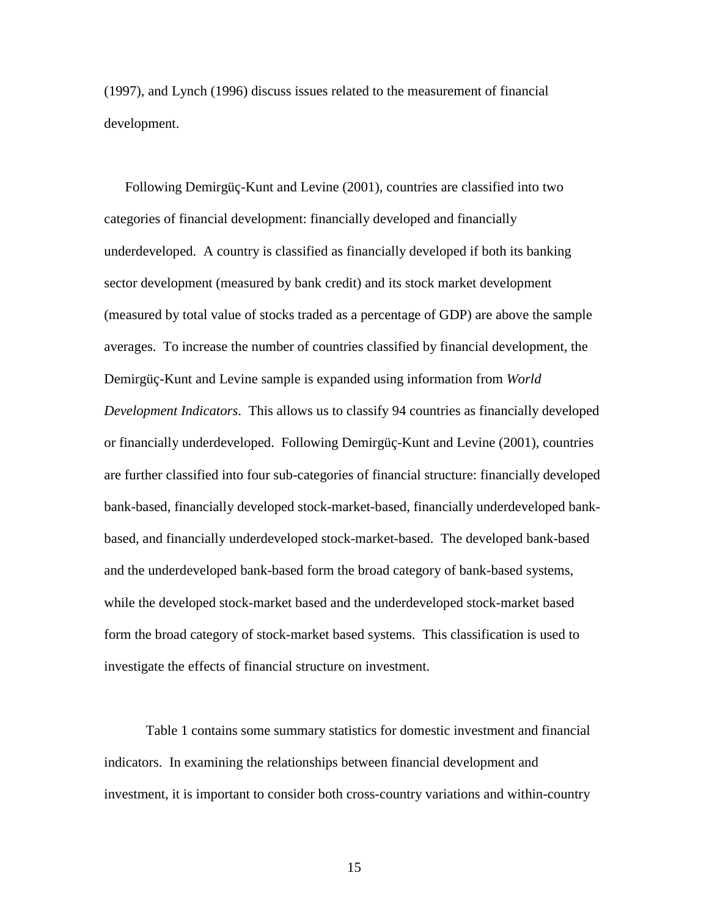(1997), and Lynch (1996) discuss issues related to the measurement of financial development.

Following Demirgüç-Kunt and Levine (2001), countries are classified into two categories of financial development: financially developed and financially underdeveloped. A country is classified as financially developed if both its banking sector development (measured by bank credit) and its stock market development (measured by total value of stocks traded as a percentage of GDP) are above the sample averages. To increase the number of countries classified by financial development, the Demirgüç-Kunt and Levine sample is expanded using information from *World Development Indicators*. This allows us to classify 94 countries as financially developed or financially underdeveloped. Following Demirgüç-Kunt and Levine (2001), countries are further classified into four sub-categories of financial structure: financially developed bank-based, financially developed stock-market-based, financially underdeveloped bankbased, and financially underdeveloped stock-market-based. The developed bank-based and the underdeveloped bank-based form the broad category of bank-based systems, while the developed stock-market based and the underdeveloped stock-market based form the broad category of stock-market based systems. This classification is used to investigate the effects of financial structure on investment.

Table 1 contains some summary statistics for domestic investment and financial indicators. In examining the relationships between financial development and investment, it is important to consider both cross-country variations and within-country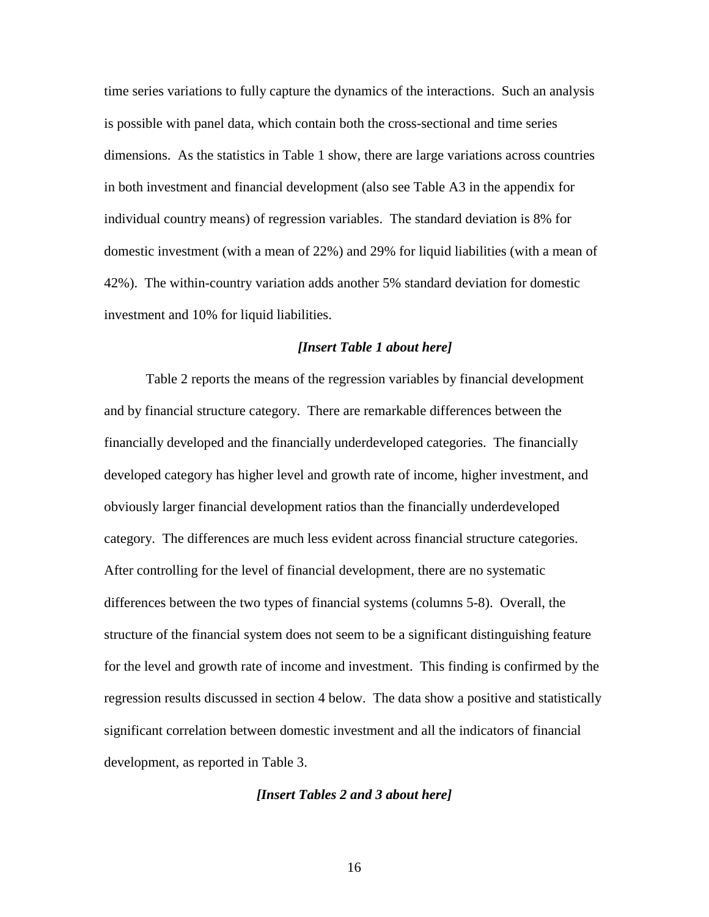time series variations to fully capture the dynamics of the interactions. Such an analysis is possible with panel data, which contain both the cross-sectional and time series dimensions. As the statistics in Table 1 show, there are large variations across countries in both investment and financial development (also see Table A3 in the appendix for individual country means) of regression variables. The standard deviation is 8% for domestic investment (with a mean of 22%) and 29% for liquid liabilities (with a mean of 42%). The within-country variation adds another 5% standard deviation for domestic investment and 10% for liquid liabilities.

## *[Insert Table 1 about here]*

Table 2 reports the means of the regression variables by financial development and by financial structure category. There are remarkable differences between the financially developed and the financially underdeveloped categories. The financially developed category has higher level and growth rate of income, higher investment, and obviously larger financial development ratios than the financially underdeveloped category. The differences are much less evident across financial structure categories. After controlling for the level of financial development, there are no systematic differences between the two types of financial systems (columns 5-8). Overall, the structure of the financial system does not seem to be a significant distinguishing feature for the level and growth rate of income and investment. This finding is confirmed by the regression results discussed in section 4 below. The data show a positive and statistically significant correlation between domestic investment and all the indicators of financial development, as reported in Table 3.

#### *[Insert Tables 2 and 3 about here]*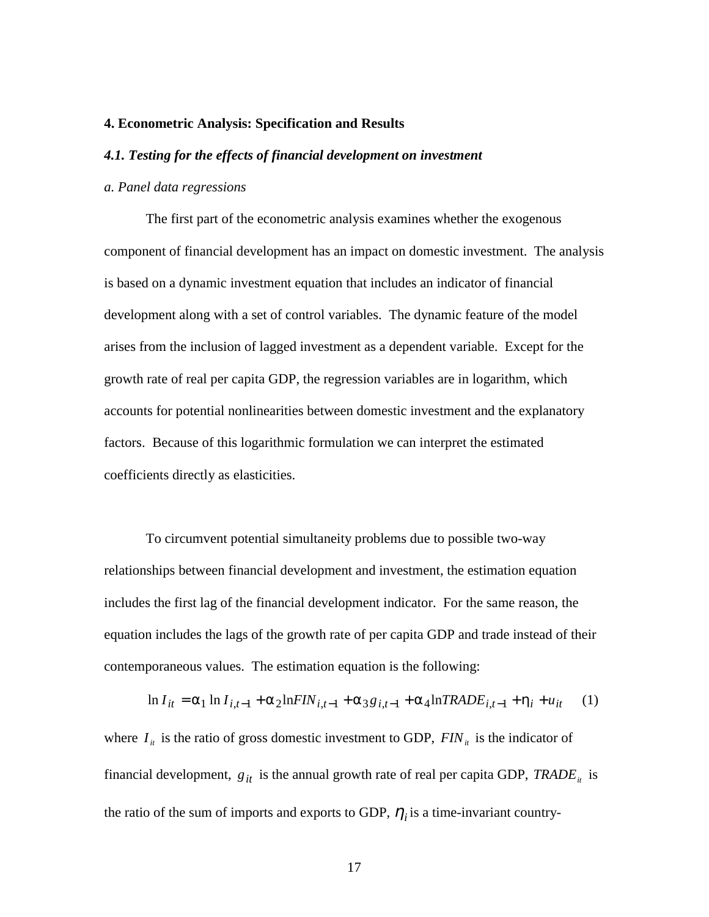#### **4. Econometric Analysis: Specification and Results**

## *4.1. Testing for the effects of financial development on investment*

## *a. Panel data regressions*

 The first part of the econometric analysis examines whether the exogenous component of financial development has an impact on domestic investment. The analysis is based on a dynamic investment equation that includes an indicator of financial development along with a set of control variables. The dynamic feature of the model arises from the inclusion of lagged investment as a dependent variable. Except for the growth rate of real per capita GDP, the regression variables are in logarithm, which accounts for potential nonlinearities between domestic investment and the explanatory factors. Because of this logarithmic formulation we can interpret the estimated coefficients directly as elasticities.

 To circumvent potential simultaneity problems due to possible two-way relationships between financial development and investment, the estimation equation includes the first lag of the financial development indicator. For the same reason, the equation includes the lags of the growth rate of per capita GDP and trade instead of their contemporaneous values. The estimation equation is the following:

$$
\ln I_{it} = \alpha_1 \ln I_{i,t-1} + \alpha_2 \ln FIN_{i,t-1} + \alpha_3 g_{i,t-1} + \alpha_4 \ln TRADE_{i,t-1} + \eta_i + u_{it} \tag{1}
$$

where  $I_{it}$  is the ratio of gross domestic investment to GDP,  $FIN_{it}$  is the indicator of financial development,  $g_{it}$  is the annual growth rate of real per capita GDP, *TRADE<sub>it</sub>* is the ratio of the sum of imports and exports to GDP,  $\eta_i$  is a time-invariant country-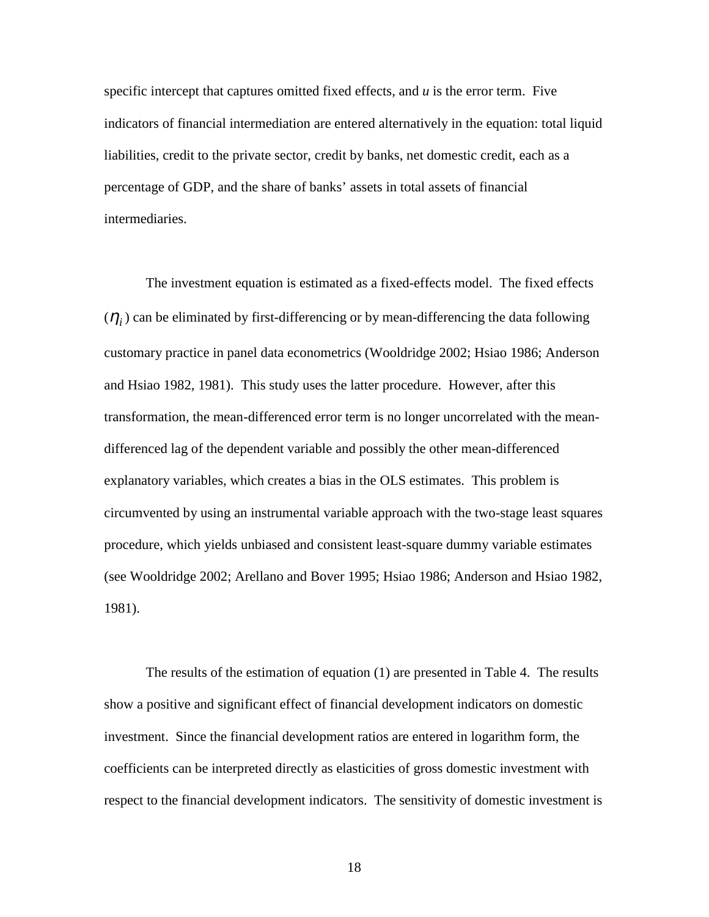specific intercept that captures omitted fixed effects, and *u* is the error term. Five indicators of financial intermediation are entered alternatively in the equation: total liquid liabilities, credit to the private sector, credit by banks, net domestic credit, each as a percentage of GDP, and the share of banks' assets in total assets of financial intermediaries.

 The investment equation is estimated as a fixed-effects model. The fixed effects  $(\eta_i)$  can be eliminated by first-differencing or by mean-differencing the data following customary practice in panel data econometrics (Wooldridge 2002; Hsiao 1986; Anderson and Hsiao 1982, 1981). This study uses the latter procedure. However, after this transformation, the mean-differenced error term is no longer uncorrelated with the meandifferenced lag of the dependent variable and possibly the other mean-differenced explanatory variables, which creates a bias in the OLS estimates. This problem is circumvented by using an instrumental variable approach with the two-stage least squares procedure, which yields unbiased and consistent least-square dummy variable estimates (see Wooldridge 2002; Arellano and Bover 1995; Hsiao 1986; Anderson and Hsiao 1982, 1981).

The results of the estimation of equation (1) are presented in Table 4. The results show a positive and significant effect of financial development indicators on domestic investment. Since the financial development ratios are entered in logarithm form, the coefficients can be interpreted directly as elasticities of gross domestic investment with respect to the financial development indicators. The sensitivity of domestic investment is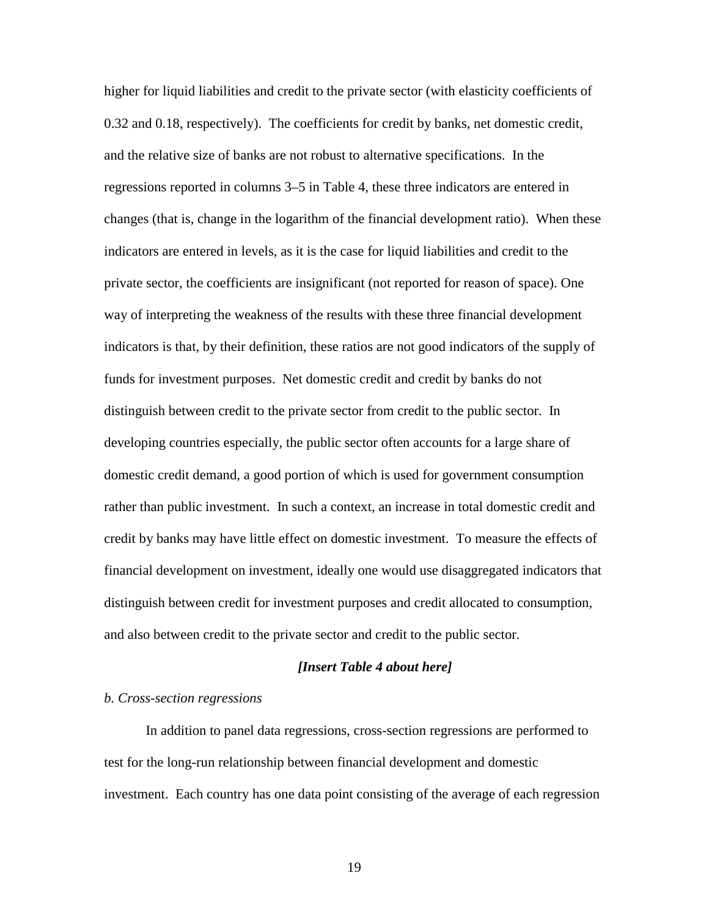higher for liquid liabilities and credit to the private sector (with elasticity coefficients of 0.32 and 0.18, respectively). The coefficients for credit by banks, net domestic credit, and the relative size of banks are not robust to alternative specifications. In the regressions reported in columns 3–5 in Table 4, these three indicators are entered in changes (that is, change in the logarithm of the financial development ratio). When these indicators are entered in levels, as it is the case for liquid liabilities and credit to the private sector, the coefficients are insignificant (not reported for reason of space). One way of interpreting the weakness of the results with these three financial development indicators is that, by their definition, these ratios are not good indicators of the supply of funds for investment purposes. Net domestic credit and credit by banks do not distinguish between credit to the private sector from credit to the public sector. In developing countries especially, the public sector often accounts for a large share of domestic credit demand, a good portion of which is used for government consumption rather than public investment. In such a context, an increase in total domestic credit and credit by banks may have little effect on domestic investment. To measure the effects of financial development on investment, ideally one would use disaggregated indicators that distinguish between credit for investment purposes and credit allocated to consumption, and also between credit to the private sector and credit to the public sector.

#### *[Insert Table 4 about here]*

#### *b. Cross-section regressions*

 In addition to panel data regressions, cross-section regressions are performed to test for the long-run relationship between financial development and domestic investment. Each country has one data point consisting of the average of each regression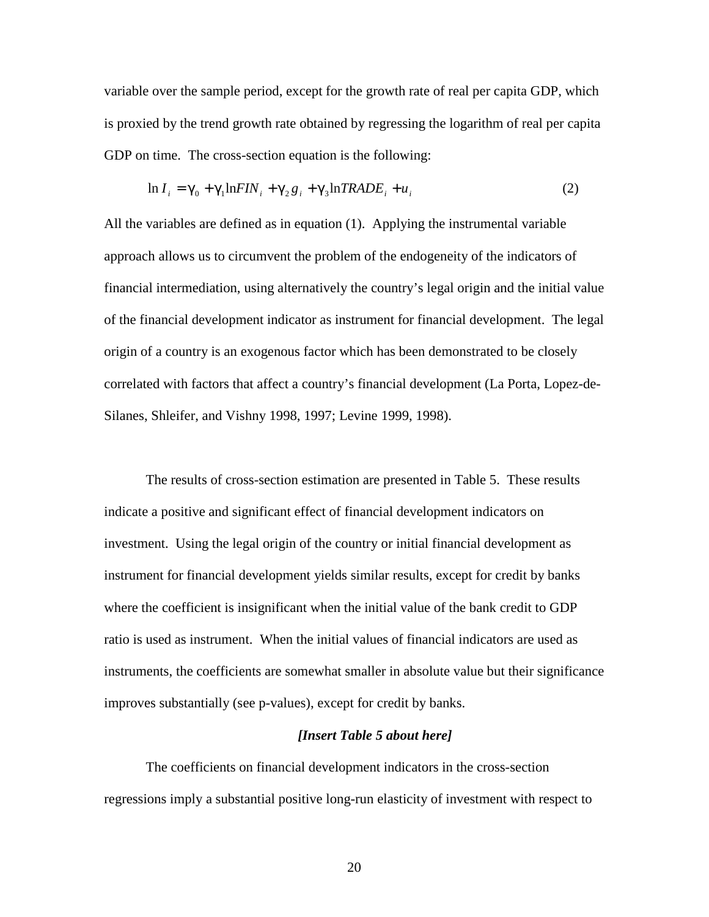variable over the sample period, except for the growth rate of real per capita GDP, which is proxied by the trend growth rate obtained by regressing the logarithm of real per capita GDP on time. The cross-section equation is the following:

$$
\ln I_i = \gamma_0 + \gamma_1 \ln FIN_i + \gamma_2 g_i + \gamma_3 \ln TRADE_i + u_i \tag{2}
$$

All the variables are defined as in equation (1). Applying the instrumental variable approach allows us to circumvent the problem of the endogeneity of the indicators of financial intermediation, using alternatively the country's legal origin and the initial value of the financial development indicator as instrument for financial development. The legal origin of a country is an exogenous factor which has been demonstrated to be closely correlated with factors that affect a country's financial development (La Porta, Lopez-de-Silanes, Shleifer, and Vishny 1998, 1997; Levine 1999, 1998).

 The results of cross-section estimation are presented in Table 5. These results indicate a positive and significant effect of financial development indicators on investment. Using the legal origin of the country or initial financial development as instrument for financial development yields similar results, except for credit by banks where the coefficient is insignificant when the initial value of the bank credit to GDP ratio is used as instrument. When the initial values of financial indicators are used as instruments, the coefficients are somewhat smaller in absolute value but their significance improves substantially (see p-values), except for credit by banks.

## *[Insert Table 5 about here]*

The coefficients on financial development indicators in the cross-section regressions imply a substantial positive long-run elasticity of investment with respect to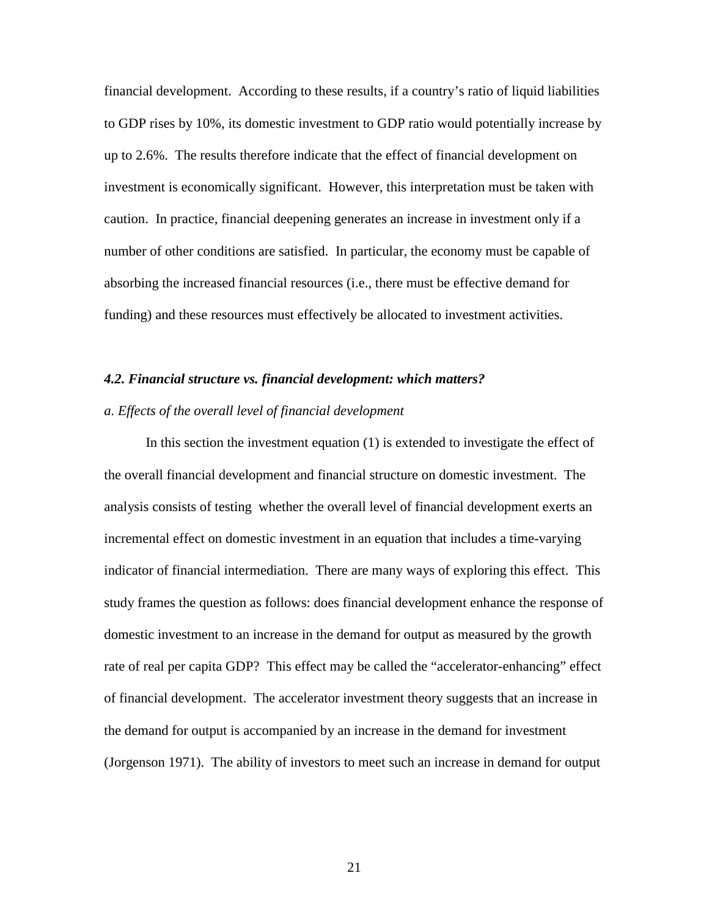financial development. According to these results, if a country's ratio of liquid liabilities to GDP rises by 10%, its domestic investment to GDP ratio would potentially increase by up to 2.6%. The results therefore indicate that the effect of financial development on investment is economically significant. However, this interpretation must be taken with caution. In practice, financial deepening generates an increase in investment only if a number of other conditions are satisfied. In particular, the economy must be capable of absorbing the increased financial resources (i.e., there must be effective demand for funding) and these resources must effectively be allocated to investment activities.

## *4.2. Financial structure vs. financial development: which matters?*

#### *a. Effects of the overall level of financial development*

 In this section the investment equation (1) is extended to investigate the effect of the overall financial development and financial structure on domestic investment. The analysis consists of testing whether the overall level of financial development exerts an incremental effect on domestic investment in an equation that includes a time-varying indicator of financial intermediation. There are many ways of exploring this effect. This study frames the question as follows: does financial development enhance the response of domestic investment to an increase in the demand for output as measured by the growth rate of real per capita GDP? This effect may be called the "accelerator-enhancing" effect of financial development. The accelerator investment theory suggests that an increase in the demand for output is accompanied by an increase in the demand for investment (Jorgenson 1971). The ability of investors to meet such an increase in demand for output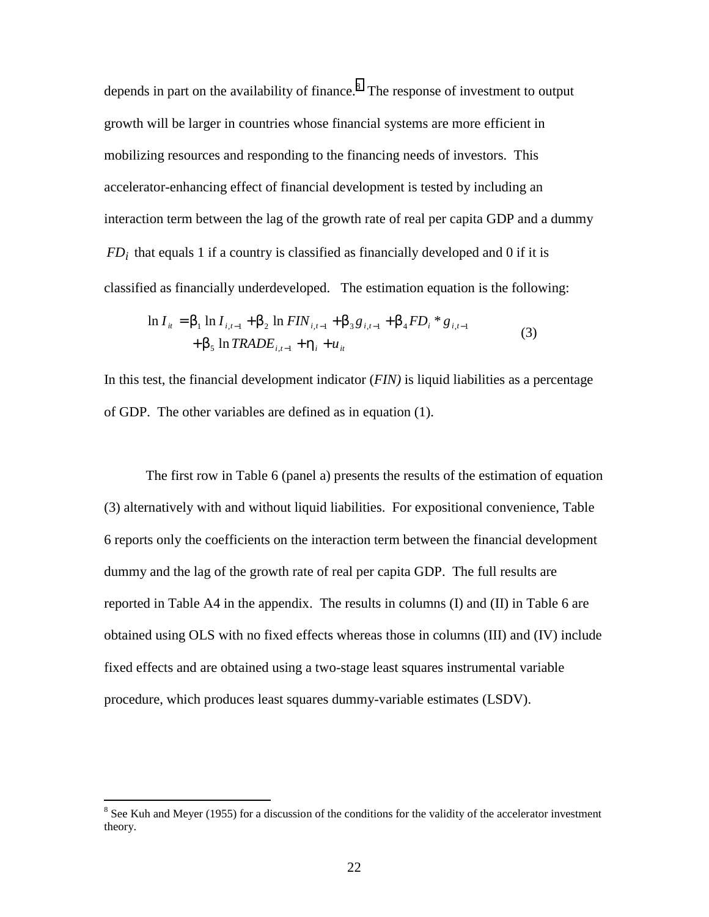depends in part on the availability of finance. $8$  The response of investment to output growth will be larger in countries whose financial systems are more efficient in mobilizing resources and responding to the financing needs of investors. This accelerator-enhancing effect of financial development is tested by including an interaction term between the lag of the growth rate of real per capita GDP and a dummy  $FD_i$  that equals 1 if a country is classified as financially developed and 0 if it is classified as financially underdeveloped. The estimation equation is the following:

$$
\ln I_{it} = \beta_1 \ln I_{i,t-1} + \beta_2 \ln FIN_{i,t-1} + \beta_3 g_{i,t-1} + \beta_4 FD_i * g_{i,t-1} + \beta_5 \ln TRADE_{i,t-1} + \eta_i + u_{it}
$$
\n(3)

In this test, the financial development indicator (*FIN)* is liquid liabilities as a percentage of GDP. The other variables are defined as in equation (1).

 The first row in Table 6 (panel a) presents the results of the estimation of equation (3) alternatively with and without liquid liabilities. For expositional convenience, Table 6 reports only the coefficients on the interaction term between the financial development dummy and the lag of the growth rate of real per capita GDP. The full results are reported in Table A4 in the appendix. The results in columns (I) and (II) in Table 6 are obtained using OLS with no fixed effects whereas those in columns (III) and (IV) include fixed effects and are obtained using a two-stage least squares instrumental variable procedure, which produces least squares dummy-variable estimates (LSDV).

 $\overline{a}$ 

 $8$  See Kuh and Meyer (1955) for a discussion of the conditions for the validity of the accelerator investment theory.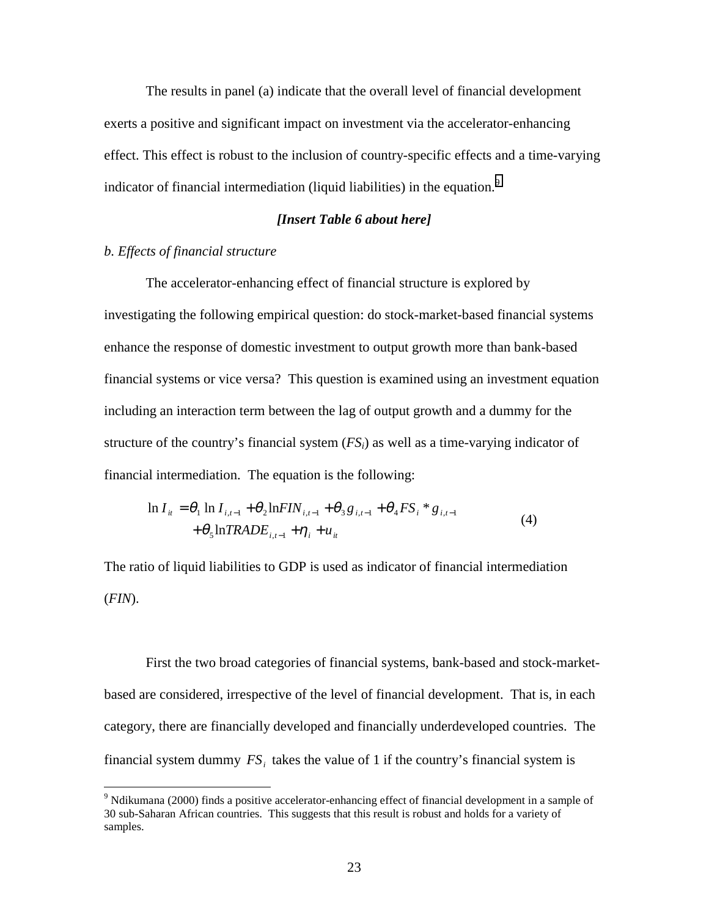The results in panel (a) indicate that the overall level of financial development exerts a positive and significant impact on investment via the accelerator-enhancing effect. This effect is robust to the inclusion of country-specific effects and a time-varying indicator of financial intermediation (liquid liabilities) in the equation.<sup>9</sup>

#### *[Insert Table 6 about here]*

## *b. Effects of financial structure*

 $\overline{a}$ 

 The accelerator-enhancing effect of financial structure is explored by investigating the following empirical question: do stock-market-based financial systems enhance the response of domestic investment to output growth more than bank-based financial systems or vice versa? This question is examined using an investment equation including an interaction term between the lag of output growth and a dummy for the structure of the country's financial system  $(FS_i)$  as well as a time-varying indicator of financial intermediation. The equation is the following:

$$
\ln I_{it} = \theta_1 \ln I_{i,t-1} + \theta_2 \ln FIN_{i,t-1} + \theta_3 g_{i,t-1} + \theta_4 FS_i * g_{i,t-1} + \theta_5 \ln TRADE_{i,t-1} + \eta_i + u_{it}
$$
\n(4)

The ratio of liquid liabilities to GDP is used as indicator of financial intermediation (*FIN*).

 First the two broad categories of financial systems, bank-based and stock-marketbased are considered, irrespective of the level of financial development. That is, in each category, there are financially developed and financially underdeveloped countries. The financial system dummy  $FS<sub>i</sub>$  takes the value of 1 if the country's financial system is

<sup>&</sup>lt;sup>9</sup> Ndikumana (2000) finds a positive accelerator-enhancing effect of financial development in a sample of 30 sub-Saharan African countries. This suggests that this result is robust and holds for a variety of samples.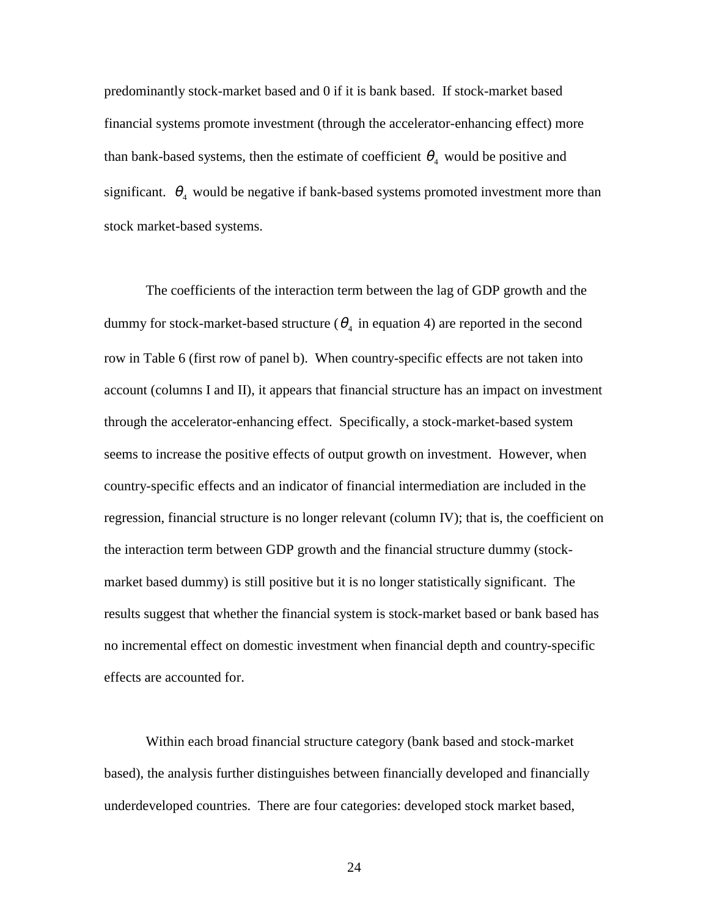predominantly stock-market based and 0 if it is bank based. If stock-market based financial systems promote investment (through the accelerator-enhancing effect) more than bank-based systems, then the estimate of coefficient  $\theta_4$  would be positive and significant.  $\theta_4$  would be negative if bank-based systems promoted investment more than stock market-based systems.

 The coefficients of the interaction term between the lag of GDP growth and the dummy for stock-market-based structure ( $\theta_4$  in equation 4) are reported in the second row in Table 6 (first row of panel b). When country-specific effects are not taken into account (columns I and II), it appears that financial structure has an impact on investment through the accelerator-enhancing effect. Specifically, a stock-market-based system seems to increase the positive effects of output growth on investment. However, when country-specific effects and an indicator of financial intermediation are included in the regression, financial structure is no longer relevant (column IV); that is, the coefficient on the interaction term between GDP growth and the financial structure dummy (stockmarket based dummy) is still positive but it is no longer statistically significant. The results suggest that whether the financial system is stock-market based or bank based has no incremental effect on domestic investment when financial depth and country-specific effects are accounted for.

 Within each broad financial structure category (bank based and stock-market based), the analysis further distinguishes between financially developed and financially underdeveloped countries. There are four categories: developed stock market based,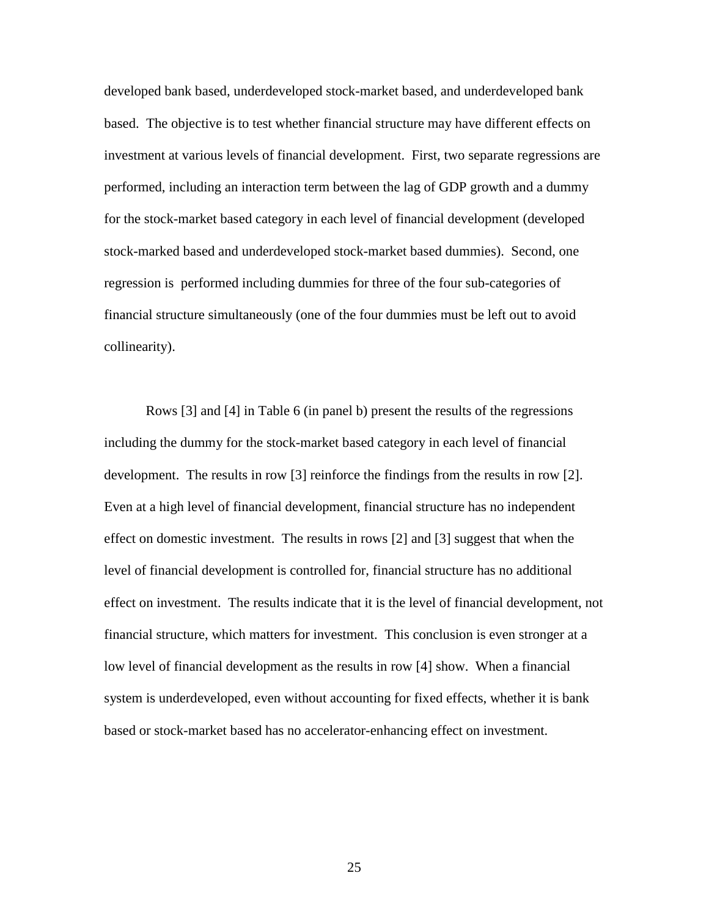developed bank based, underdeveloped stock-market based, and underdeveloped bank based. The objective is to test whether financial structure may have different effects on investment at various levels of financial development. First, two separate regressions are performed, including an interaction term between the lag of GDP growth and a dummy for the stock-market based category in each level of financial development (developed stock-marked based and underdeveloped stock-market based dummies). Second, one regression is performed including dummies for three of the four sub-categories of financial structure simultaneously (one of the four dummies must be left out to avoid collinearity).

Rows [3] and [4] in Table 6 (in panel b) present the results of the regressions including the dummy for the stock-market based category in each level of financial development. The results in row [3] reinforce the findings from the results in row [2]. Even at a high level of financial development, financial structure has no independent effect on domestic investment. The results in rows [2] and [3] suggest that when the level of financial development is controlled for, financial structure has no additional effect on investment. The results indicate that it is the level of financial development, not financial structure, which matters for investment. This conclusion is even stronger at a low level of financial development as the results in row [4] show. When a financial system is underdeveloped, even without accounting for fixed effects, whether it is bank based or stock-market based has no accelerator-enhancing effect on investment.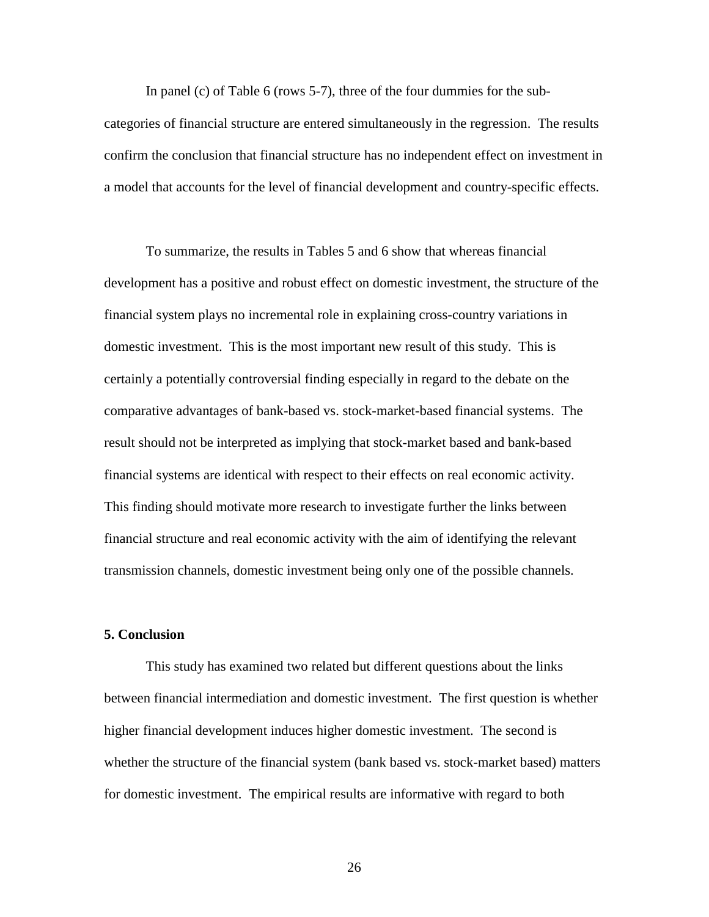In panel (c) of Table 6 (rows 5-7), three of the four dummies for the subcategories of financial structure are entered simultaneously in the regression. The results confirm the conclusion that financial structure has no independent effect on investment in a model that accounts for the level of financial development and country-specific effects.

To summarize, the results in Tables 5 and 6 show that whereas financial development has a positive and robust effect on domestic investment, the structure of the financial system plays no incremental role in explaining cross-country variations in domestic investment. This is the most important new result of this study. This is certainly a potentially controversial finding especially in regard to the debate on the comparative advantages of bank-based vs. stock-market-based financial systems. The result should not be interpreted as implying that stock-market based and bank-based financial systems are identical with respect to their effects on real economic activity. This finding should motivate more research to investigate further the links between financial structure and real economic activity with the aim of identifying the relevant transmission channels, domestic investment being only one of the possible channels.

## **5. Conclusion**

 This study has examined two related but different questions about the links between financial intermediation and domestic investment. The first question is whether higher financial development induces higher domestic investment. The second is whether the structure of the financial system (bank based vs. stock-market based) matters for domestic investment. The empirical results are informative with regard to both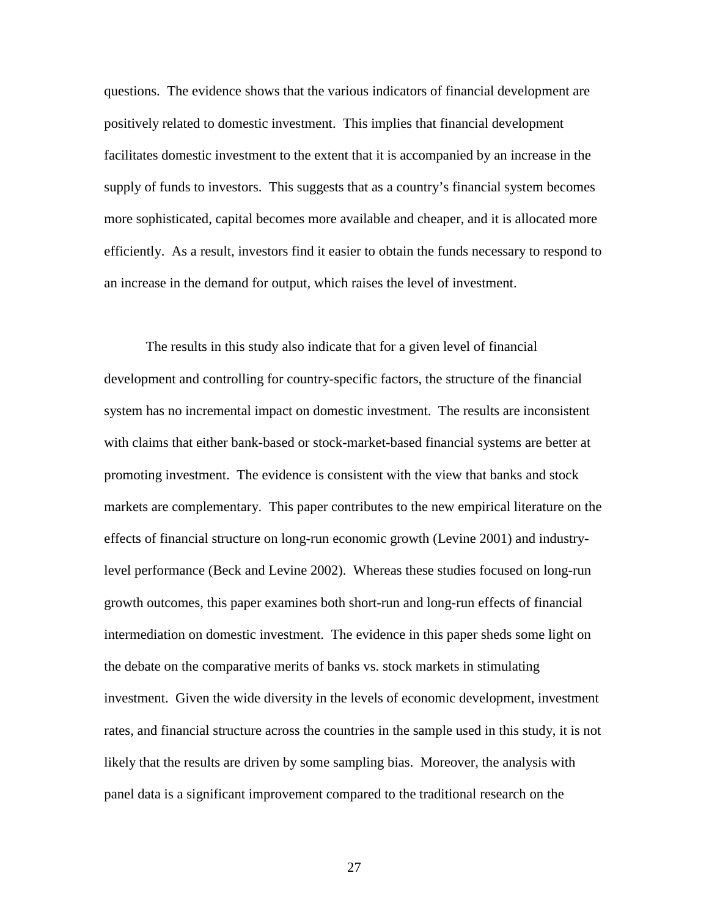questions. The evidence shows that the various indicators of financial development are positively related to domestic investment. This implies that financial development facilitates domestic investment to the extent that it is accompanied by an increase in the supply of funds to investors. This suggests that as a country's financial system becomes more sophisticated, capital becomes more available and cheaper, and it is allocated more efficiently. As a result, investors find it easier to obtain the funds necessary to respond to an increase in the demand for output, which raises the level of investment.

 The results in this study also indicate that for a given level of financial development and controlling for country-specific factors, the structure of the financial system has no incremental impact on domestic investment. The results are inconsistent with claims that either bank-based or stock-market-based financial systems are better at promoting investment. The evidence is consistent with the view that banks and stock markets are complementary. This paper contributes to the new empirical literature on the effects of financial structure on long-run economic growth (Levine 2001) and industrylevel performance (Beck and Levine 2002). Whereas these studies focused on long-run growth outcomes, this paper examines both short-run and long-run effects of financial intermediation on domestic investment. The evidence in this paper sheds some light on the debate on the comparative merits of banks vs. stock markets in stimulating investment. Given the wide diversity in the levels of economic development, investment rates, and financial structure across the countries in the sample used in this study, it is not likely that the results are driven by some sampling bias. Moreover, the analysis with panel data is a significant improvement compared to the traditional research on the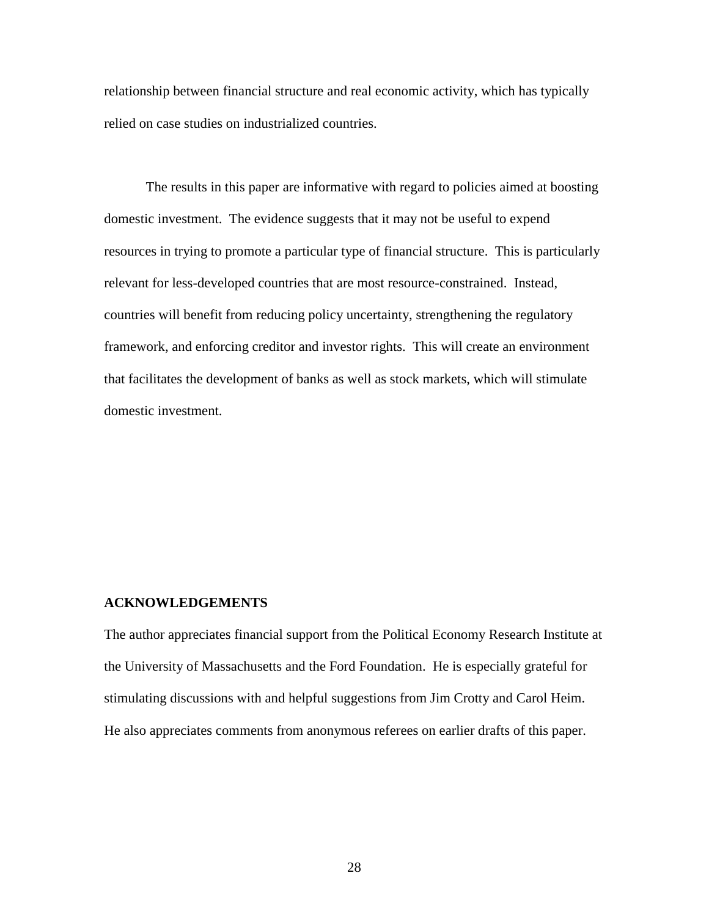relationship between financial structure and real economic activity, which has typically relied on case studies on industrialized countries.

The results in this paper are informative with regard to policies aimed at boosting domestic investment. The evidence suggests that it may not be useful to expend resources in trying to promote a particular type of financial structure. This is particularly relevant for less-developed countries that are most resource-constrained. Instead, countries will benefit from reducing policy uncertainty, strengthening the regulatory framework, and enforcing creditor and investor rights. This will create an environment that facilitates the development of banks as well as stock markets, which will stimulate domestic investment.

#### **ACKNOWLEDGEMENTS**

The author appreciates financial support from the Political Economy Research Institute at the University of Massachusetts and the Ford Foundation. He is especially grateful for stimulating discussions with and helpful suggestions from Jim Crotty and Carol Heim. He also appreciates comments from anonymous referees on earlier drafts of this paper.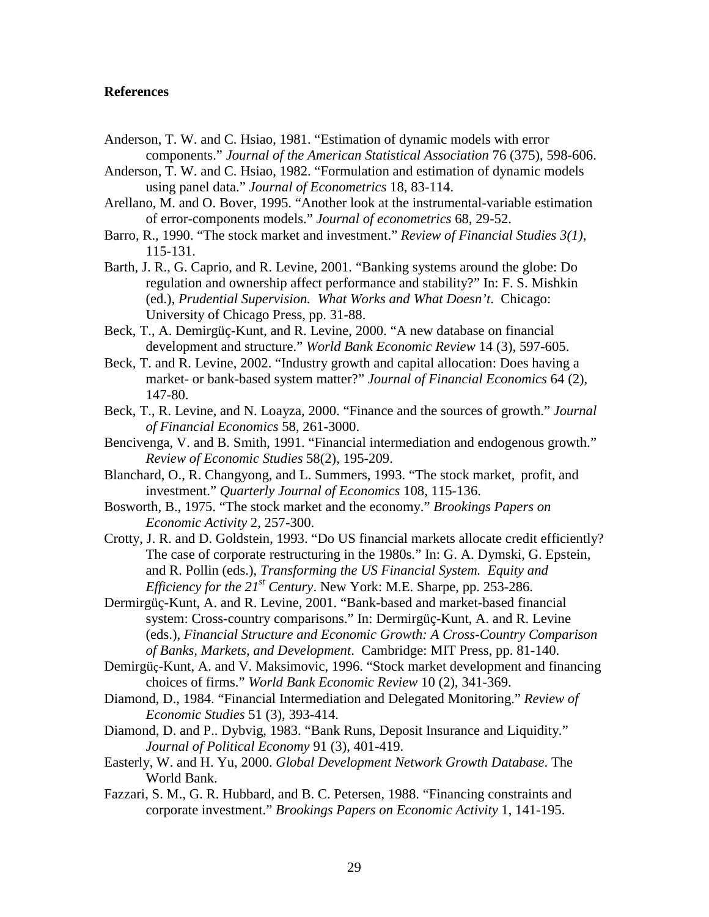## **References**

- Anderson, T. W. and C. Hsiao, 1981. "Estimation of dynamic models with error components." *Journal of the American Statistical Association* 76 (375), 598-606.
- Anderson, T. W. and C. Hsiao, 1982. "Formulation and estimation of dynamic models using panel data." *Journal of Econometrics* 18, 83-114.
- Arellano, M. and O. Bover, 1995. "Another look at the instrumental-variable estimation of error-components models." *Journal of econometrics* 68, 29-52.
- Barro, R., 1990. "The stock market and investment." *Review of Financial Studies 3(1)*, 115-131.
- Barth, J. R., G. Caprio, and R. Levine, 2001. "Banking systems around the globe: Do regulation and ownership affect performance and stability?" In: F. S. Mishkin (ed.), *Prudential Supervision. What Works and What Doesn't*. Chicago: University of Chicago Press, pp. 31-88.
- Beck, T., A. Demirgüç-Kunt, and R. Levine, 2000. "A new database on financial development and structure." *World Bank Economic Review* 14 (3), 597-605.
- Beck, T. and R. Levine, 2002. "Industry growth and capital allocation: Does having a market- or bank-based system matter?" *Journal of Financial Economics* 64 (2), 147-80.
- Beck, T., R. Levine, and N. Loayza, 2000. "Finance and the sources of growth." *Journal of Financial Economics* 58, 261-3000.
- Bencivenga, V. and B. Smith, 1991. "Financial intermediation and endogenous growth." *Review of Economic Studies* 58(2), 195-209.
- Blanchard, O., R. Changyong, and L. Summers, 1993. "The stock market, profit, and investment." *Quarterly Journal of Economics* 108, 115-136.
- Bosworth, B., 1975. "The stock market and the economy." *Brookings Papers on Economic Activity* 2, 257-300.
- Crotty, J. R. and D. Goldstein, 1993. "Do US financial markets allocate credit efficiently? The case of corporate restructuring in the 1980s." In: G. A. Dymski, G. Epstein, and R. Pollin (eds.), *Transforming the US Financial System. Equity and Efficiency for the 21st Century*. New York: M.E. Sharpe, pp. 253-286.
- Dermirgüç-Kunt, A. and R. Levine, 2001. "Bank-based and market-based financial system: Cross-country comparisons." In: Dermirgüç-Kunt, A. and R. Levine (eds.), *Financial Structure and Economic Growth: A Cross-Country Comparison of Banks, Markets, and Development*. Cambridge: MIT Press, pp. 81-140.
- Demirgüç-Kunt, A. and V. Maksimovic, 1996. "Stock market development and financing choices of firms." *World Bank Economic Review* 10 (2), 341-369.
- Diamond, D., 1984. "Financial Intermediation and Delegated Monitoring." *Review of Economic Studies* 51 (3), 393-414.
- Diamond, D. and P.. Dybvig, 1983. "Bank Runs, Deposit Insurance and Liquidity." *Journal of Political Economy* 91 (3), 401-419.
- Easterly, W. and H. Yu, 2000. *Global Development Network Growth Database*. The World Bank.
- Fazzari, S. M., G. R. Hubbard, and B. C. Petersen, 1988. "Financing constraints and corporate investment." *Brookings Papers on Economic Activity* 1, 141-195.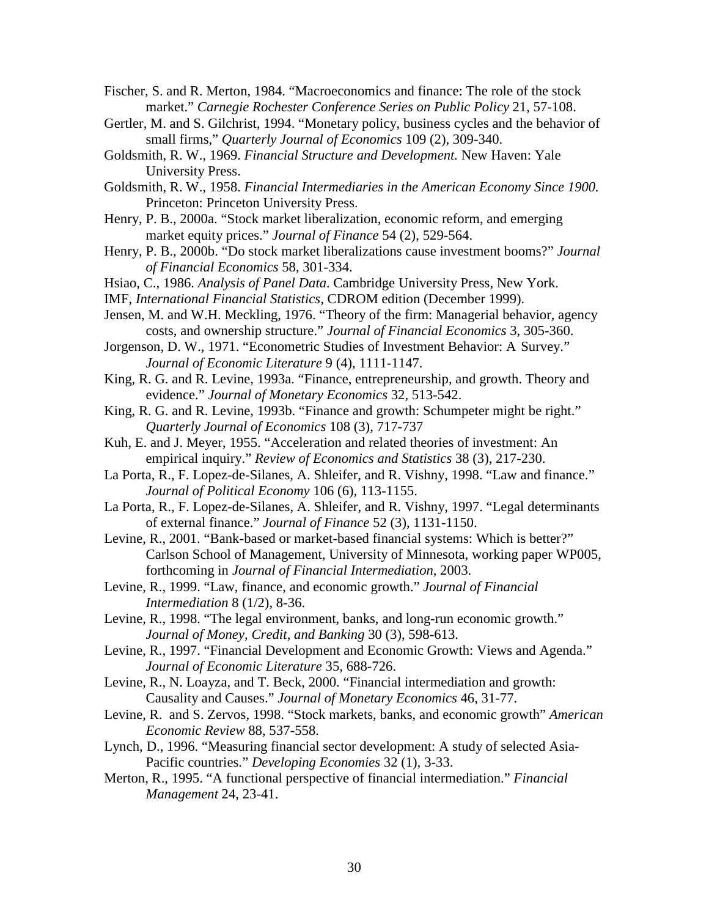Fischer, S. and R. Merton, 1984. "Macroeconomics and finance: The role of the stock market." *Carnegie Rochester Conference Series on Public Policy* 21, 57-108.

- Gertler, M. and S. Gilchrist, 1994. "Monetary policy, business cycles and the behavior of small firms," *Quarterly Journal of Economics* 109 (2), 309-340.
- Goldsmith, R. W., 1969. *Financial Structure and Development.* New Haven: Yale University Press.
- Goldsmith, R. W., 1958. *Financial Intermediaries in the American Economy Since 1900.* Princeton: Princeton University Press.
- Henry, P. B., 2000a. "Stock market liberalization, economic reform, and emerging market equity prices." *Journal of Finance* 54 (2), 529-564.
- Henry, P. B., 2000b. "Do stock market liberalizations cause investment booms?" *Journal of Financial Economics* 58, 301-334.
- Hsiao, C., 1986. *Analysis of Panel Data*. Cambridge University Press, New York.
- IMF, *International Financial Statistics*, CDROM edition (December 1999).
- Jensen, M. and W.H. Meckling, 1976. "Theory of the firm: Managerial behavior, agency costs, and ownership structure." *Journal of Financial Economics* 3, 305-360.
- Jorgenson, D. W., 1971. "Econometric Studies of Investment Behavior: A Survey." *Journal of Economic Literature* 9 (4), 1111-1147.
- King, R. G. and R. Levine, 1993a. "Finance, entrepreneurship, and growth. Theory and evidence." *Journal of Monetary Economics* 32*,* 513-542.
- King, R. G. and R. Levine, 1993b. "Finance and growth: Schumpeter might be right." *Quarterly Journal of Economics* 108 (3), 717-737
- Kuh, E. and J. Meyer, 1955. "Acceleration and related theories of investment: An empirical inquiry." *Review of Economics and Statistics* 38 (3), 217-230.
- La Porta, R., F. Lopez-de-Silanes, A. Shleifer, and R. Vishny, 1998. "Law and finance." *Journal of Political Economy* 106 (6), 113-1155.
- La Porta, R., F. Lopez-de-Silanes, A. Shleifer, and R. Vishny, 1997. "Legal determinants of external finance." *Journal of Finance* 52 (3), 1131-1150.
- Levine, R., 2001. "Bank-based or market-based financial systems: Which is better?" Carlson School of Management, University of Minnesota, working paper WP005, forthcoming in *Journal of Financial Intermediation,* 2003.
- Levine, R., 1999. "Law, finance, and economic growth." *Journal of Financial Intermediation* 8 (1/2), 8-36.
- Levine, R., 1998. "The legal environment, banks, and long-run economic growth." *Journal of Money, Credit, and Banking* 30 (3), 598-613.
- Levine, R., 1997. "Financial Development and Economic Growth: Views and Agenda." *Journal of Economic Literature* 35*,* 688-726.
- Levine, R., N. Loayza, and T. Beck, 2000. "Financial intermediation and growth: Causality and Causes." *Journal of Monetary Economics* 46, 31-77.
- Levine, R. and S. Zervos, 1998. "Stock markets, banks, and economic growth" *American Economic Review* 88, 537-558.
- Lynch, D., 1996. "Measuring financial sector development: A study of selected Asia-Pacific countries." *Developing Economies* 32 (1)*,* 3-33.
- Merton, R., 1995. "A functional perspective of financial intermediation." *Financial Management* 24, 23-41.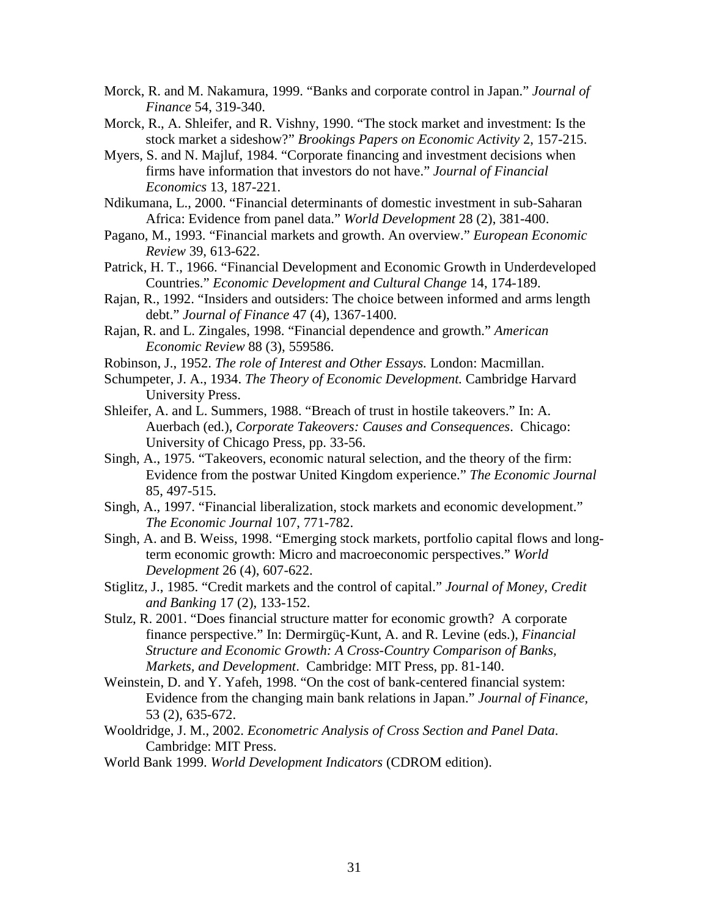- Morck, R. and M. Nakamura, 1999. "Banks and corporate control in Japan." *Journal of Finance* 54, 319-340.
- Morck, R., A. Shleifer, and R. Vishny, 1990. "The stock market and investment: Is the stock market a sideshow?" *Brookings Papers on Economic Activity* 2, 157-215.
- Myers, S. and N. Majluf, 1984. "Corporate financing and investment decisions when firms have information that investors do not have." *Journal of Financial Economics* 13*,* 187-221.
- Ndikumana, L., 2000. "Financial determinants of domestic investment in sub-Saharan Africa: Evidence from panel data." *World Development* 28 (2), 381-400.
- Pagano, M., 1993. "Financial markets and growth. An overview." *European Economic Review* 39, 613-622.
- Patrick, H. T., 1966. "Financial Development and Economic Growth in Underdeveloped Countries." *Economic Development and Cultural Change* 14, 174-189.
- Rajan, R., 1992. "Insiders and outsiders: The choice between informed and arms length debt." *Journal of Finance* 47 (4), 1367-1400.
- Rajan, R. and L. Zingales, 1998. "Financial dependence and growth." *American Economic Review* 88 (3), 559586.
- Robinson, J., 1952. *The role of Interest and Other Essays.* London: Macmillan.
- Schumpeter, J. A., 1934. *The Theory of Economic Development.* Cambridge Harvard University Press.
- Shleifer, A. and L. Summers, 1988. "Breach of trust in hostile takeovers." In: A. Auerbach (ed.), *Corporate Takeovers: Causes and Consequences*. Chicago: University of Chicago Press, pp. 33-56.
- Singh, A., 1975. "Takeovers, economic natural selection, and the theory of the firm: Evidence from the postwar United Kingdom experience." *The Economic Journal*  85, 497-515.
- Singh, A., 1997. "Financial liberalization, stock markets and economic development." *The Economic Journal* 107, 771-782.
- Singh, A. and B. Weiss, 1998. "Emerging stock markets, portfolio capital flows and longterm economic growth: Micro and macroeconomic perspectives." *World Development* 26 (4), 607-622.
- Stiglitz, J., 1985. "Credit markets and the control of capital." *Journal of Money, Credit and Banking* 17 (2), 133-152.
- Stulz, R. 2001. "Does financial structure matter for economic growth? A corporate finance perspective." In: Dermirgüç-Kunt, A. and R. Levine (eds.), *Financial Structure and Economic Growth: A Cross-Country Comparison of Banks, Markets, and Development*. Cambridge: MIT Press, pp. 81-140.
- Weinstein, D. and Y. Yafeh, 1998. "On the cost of bank-centered financial system: Evidence from the changing main bank relations in Japan." *Journal of Finance,*  53 (2), 635-672.
- Wooldridge, J. M., 2002. *Econometric Analysis of Cross Section and Panel Data*. Cambridge: MIT Press.
- World Bank 1999. *World Development Indicators* (CDROM edition).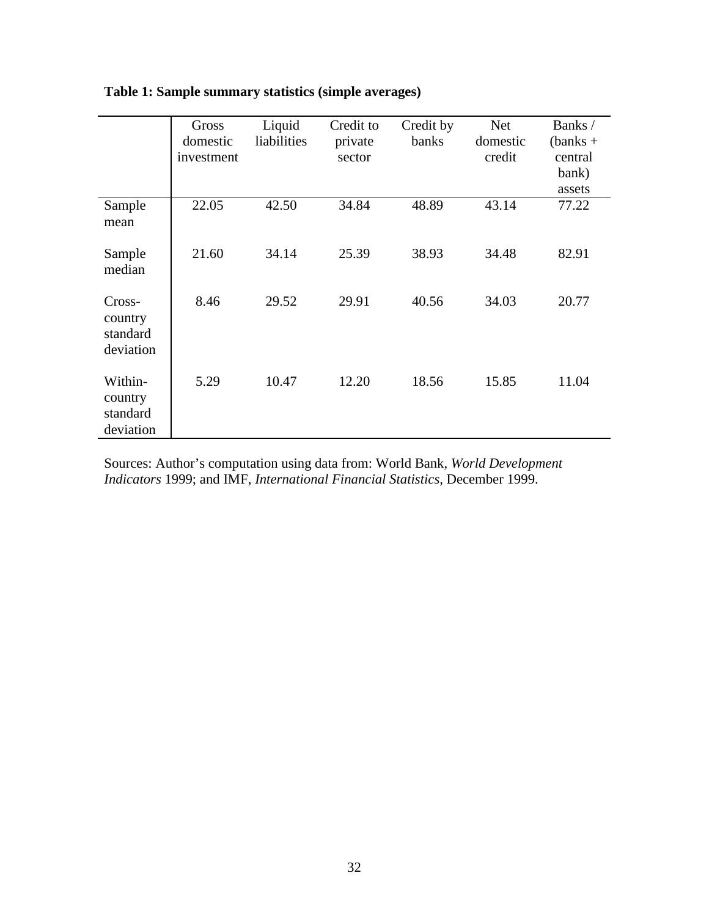|                                             | Gross<br>domestic<br>investment | Liquid<br>liabilities | Credit to<br>private<br>sector | Credit by<br>banks | <b>Net</b><br>domestic<br>credit | Banks /<br>$(banks +$<br>central<br>bank)<br>assets |
|---------------------------------------------|---------------------------------|-----------------------|--------------------------------|--------------------|----------------------------------|-----------------------------------------------------|
| Sample<br>mean                              | 22.05                           | 42.50                 | 34.84                          | 48.89              | 43.14                            | 77.22                                               |
| Sample<br>median                            | 21.60                           | 34.14                 | 25.39                          | 38.93              | 34.48                            | 82.91                                               |
| Cross-<br>country<br>standard<br>deviation  | 8.46                            | 29.52                 | 29.91                          | 40.56              | 34.03                            | 20.77                                               |
| Within-<br>country<br>standard<br>deviation | 5.29                            | 10.47                 | 12.20                          | 18.56              | 15.85                            | 11.04                                               |

## **Table 1: Sample summary statistics (simple averages)**

Sources: Author's computation using data from: World Bank, *World Development Indicators* 1999; and IMF, *International Financial Statistics,* December 1999.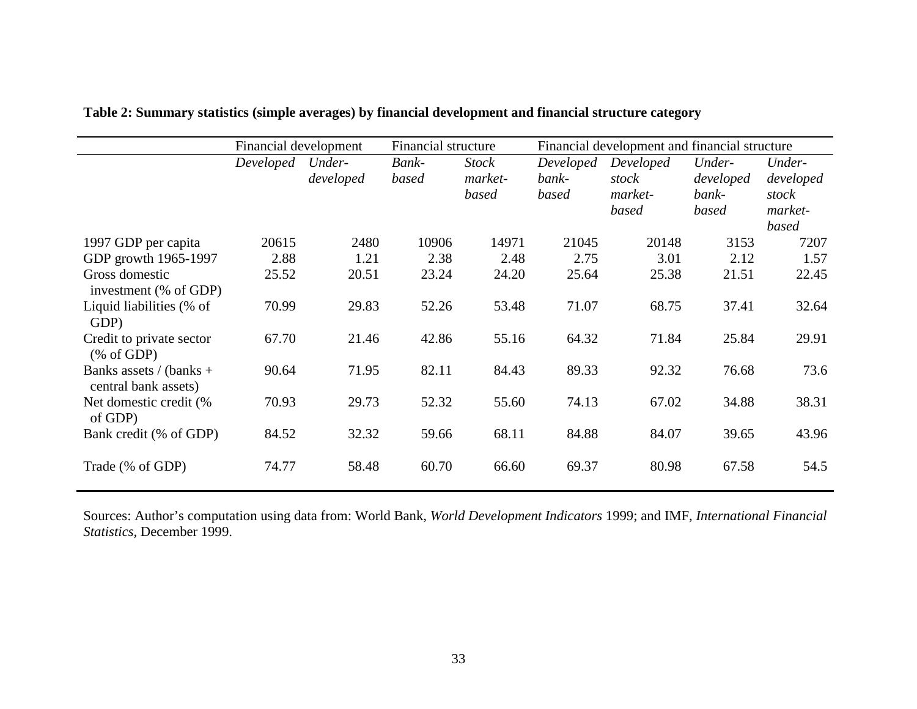|                                                 | Financial development |                     |                | <b>Financial structure</b>       |                             | Financial development and financial structure |                                       |                                                  |
|-------------------------------------------------|-----------------------|---------------------|----------------|----------------------------------|-----------------------------|-----------------------------------------------|---------------------------------------|--------------------------------------------------|
|                                                 | Developed             | Under-<br>developed | Bank-<br>based | <b>Stock</b><br>market-<br>based | Developed<br>bank-<br>based | Developed<br>stock<br>market-<br>based        | Under-<br>developed<br>bank-<br>based | Under-<br>developed<br>stock<br>market-<br>based |
| 1997 GDP per capita                             | 20615                 | 2480                | 10906          | 14971                            | 21045                       | 20148                                         | 3153                                  | 7207                                             |
| GDP growth 1965-1997                            | 2.88                  | 1.21                | 2.38           | 2.48                             | 2.75                        | 3.01                                          | 2.12                                  | 1.57                                             |
| Gross domestic<br>investment (% of GDP)         | 25.52                 | 20.51               | 23.24          | 24.20                            | 25.64                       | 25.38                                         | 21.51                                 | 22.45                                            |
| Liquid liabilities (% of<br>GDP)                | 70.99                 | 29.83               | 52.26          | 53.48                            | 71.07                       | 68.75                                         | 37.41                                 | 32.64                                            |
| Credit to private sector<br>% of GDP            | 67.70                 | 21.46               | 42.86          | 55.16                            | 64.32                       | 71.84                                         | 25.84                                 | 29.91                                            |
| Banks assets / (banks +<br>central bank assets) | 90.64                 | 71.95               | 82.11          | 84.43                            | 89.33                       | 92.32                                         | 76.68                                 | 73.6                                             |
| Net domestic credit (%<br>of GDP)               | 70.93                 | 29.73               | 52.32          | 55.60                            | 74.13                       | 67.02                                         | 34.88                                 | 38.31                                            |
| Bank credit (% of GDP)                          | 84.52                 | 32.32               | 59.66          | 68.11                            | 84.88                       | 84.07                                         | 39.65                                 | 43.96                                            |
| Trade (% of GDP)                                | 74.77                 | 58.48               | 60.70          | 66.60                            | 69.37                       | 80.98                                         | 67.58                                 | 54.5                                             |

**Table 2: Summary statistics (simple averages) by financial development and financial structure category** 

Sources: Author's computation using data from: World Bank, *World Development Indicators* 1999; and IMF, *International Financial Statistics,* December 1999.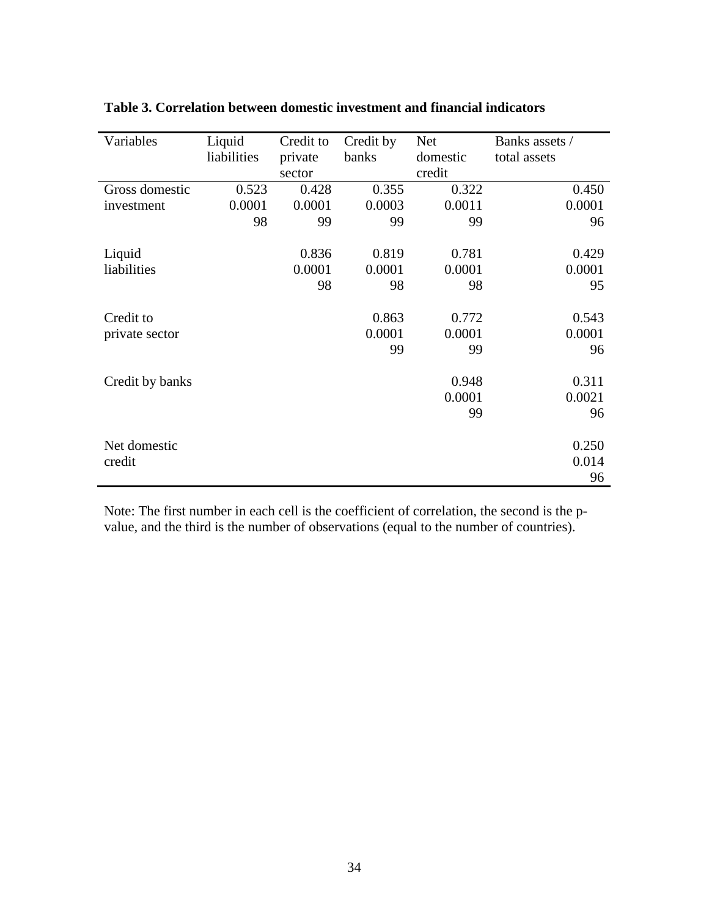| Variables       | Liquid      | Credit to | Credit by | <b>Net</b> | Banks assets / |
|-----------------|-------------|-----------|-----------|------------|----------------|
|                 | liabilities | private   | banks     | domestic   | total assets   |
|                 |             | sector    |           | credit     |                |
| Gross domestic  | 0.523       | 0.428     | 0.355     | 0.322      | 0.450          |
| investment      | 0.0001      | 0.0001    | 0.0003    | 0.0011     | 0.0001         |
|                 | 98          | 99        | 99        | 99         | 96             |
|                 |             |           |           |            |                |
| Liquid          |             | 0.836     | 0.819     | 0.781      | 0.429          |
| liabilities     |             | 0.0001    | 0.0001    | 0.0001     | 0.0001         |
|                 |             | 98        | 98        | 98         | 95             |
|                 |             |           |           |            |                |
| Credit to       |             |           | 0.863     | 0.772      | 0.543          |
| private sector  |             |           | 0.0001    | 0.0001     | 0.0001         |
|                 |             |           | 99        | 99         | 96             |
|                 |             |           |           |            |                |
| Credit by banks |             |           |           | 0.948      | 0.311          |
|                 |             |           |           | 0.0001     | 0.0021         |
|                 |             |           |           | 99         | 96             |
|                 |             |           |           |            |                |
| Net domestic    |             |           |           |            | 0.250          |
| credit          |             |           |           |            | 0.014          |
|                 |             |           |           |            | 96             |

## **Table 3. Correlation between domestic investment and financial indicators**

Note: The first number in each cell is the coefficient of correlation, the second is the pvalue, and the third is the number of observations (equal to the number of countries).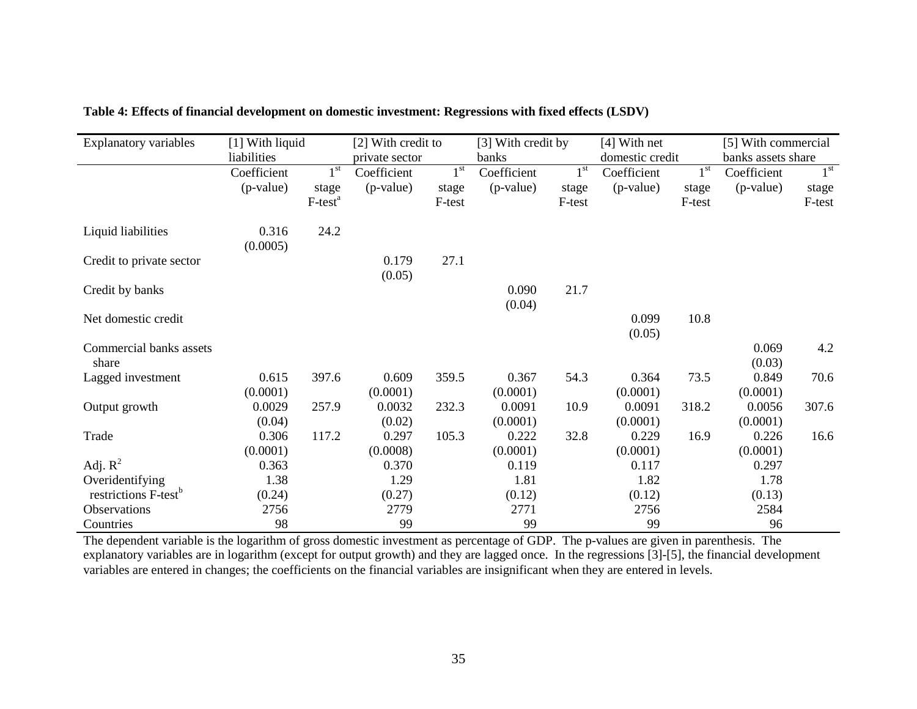| <b>Explanatory variables</b>     | [1] With liquid |                 | [2] With credit to |                 | [3] With credit by |                 | $[4]$ With net  |                 | [5] With commercial |                 |
|----------------------------------|-----------------|-----------------|--------------------|-----------------|--------------------|-----------------|-----------------|-----------------|---------------------|-----------------|
|                                  | liabilities     |                 | private sector     |                 | banks              |                 | domestic credit |                 | banks assets share  |                 |
|                                  | Coefficient     | 1 <sup>st</sup> | Coefficient        | 1 <sup>st</sup> | Coefficient        | 1 <sup>st</sup> | Coefficient     | 1 <sup>st</sup> | Coefficient         | 1 <sup>st</sup> |
|                                  | (p-value)       | stage           | (p-value)          | stage           | (p-value)          | stage           | (p-value)       | stage           | (p-value)           | stage           |
|                                  |                 | $F-testa$       |                    | F-test          |                    | F-test          |                 | F-test          |                     | F-test          |
| Liquid liabilities               | 0.316           | 24.2            |                    |                 |                    |                 |                 |                 |                     |                 |
|                                  | (0.0005)        |                 |                    |                 |                    |                 |                 |                 |                     |                 |
| Credit to private sector         |                 |                 | 0.179              | 27.1            |                    |                 |                 |                 |                     |                 |
|                                  |                 |                 | (0.05)             |                 |                    |                 |                 |                 |                     |                 |
| Credit by banks                  |                 |                 |                    |                 | 0.090              | 21.7            |                 |                 |                     |                 |
|                                  |                 |                 |                    |                 | (0.04)             |                 |                 |                 |                     |                 |
| Net domestic credit              |                 |                 |                    |                 |                    |                 | 0.099           | 10.8            |                     |                 |
|                                  |                 |                 |                    |                 |                    |                 | (0.05)          |                 |                     |                 |
| Commercial banks assets          |                 |                 |                    |                 |                    |                 |                 |                 | 0.069               | 4.2             |
| share                            |                 |                 |                    |                 |                    |                 |                 |                 | (0.03)              |                 |
| Lagged investment                | 0.615           | 397.6           | 0.609              | 359.5           | 0.367              | 54.3            | 0.364           | 73.5            | 0.849               | 70.6            |
|                                  | (0.0001)        |                 | (0.0001)           |                 | (0.0001)           |                 | (0.0001)        |                 | (0.0001)            |                 |
| Output growth                    | 0.0029          | 257.9           | 0.0032             | 232.3           | 0.0091             | 10.9            | 0.0091          | 318.2           | 0.0056              | 307.6           |
|                                  | (0.04)          |                 | (0.02)             |                 | (0.0001)           |                 | (0.0001)        |                 | (0.0001)            |                 |
| Trade                            | 0.306           | 117.2           | 0.297              | 105.3           | 0.222              | 32.8            | 0.229           | 16.9            | 0.226               | 16.6            |
|                                  | (0.0001)        |                 | (0.0008)           |                 | (0.0001)           |                 | (0.0001)        |                 | (0.0001)            |                 |
| Adj. $R^2$                       | 0.363           |                 | 0.370              |                 | 0.119              |                 | 0.117           |                 | 0.297               |                 |
| Overidentifying                  | 1.38            |                 | 1.29               |                 | 1.81               |                 | 1.82            |                 | 1.78                |                 |
| restrictions F-test <sup>b</sup> | (0.24)          |                 | (0.27)             |                 | (0.12)             |                 | (0.12)          |                 | (0.13)              |                 |
| Observations                     | 2756            |                 | 2779               |                 | 2771               |                 | 2756            |                 | 2584                |                 |
| Countries                        | 98              |                 | 99                 |                 | 99                 |                 | 99              |                 | 96                  |                 |

## **Table 4: Effects of financial development on domestic investment: Regressions with fixed effects (LSDV)**

The dependent variable is the logarithm of gross domestic investment as percentage of GDP. The p-values are given in parenthesis. The explanatory variables are in logarithm (except for output growth) and they are lagged once. In the regressions [3]-[5], the financial development variables are entered in changes; the coefficients on the financial variables are insignificant when they are entered in levels.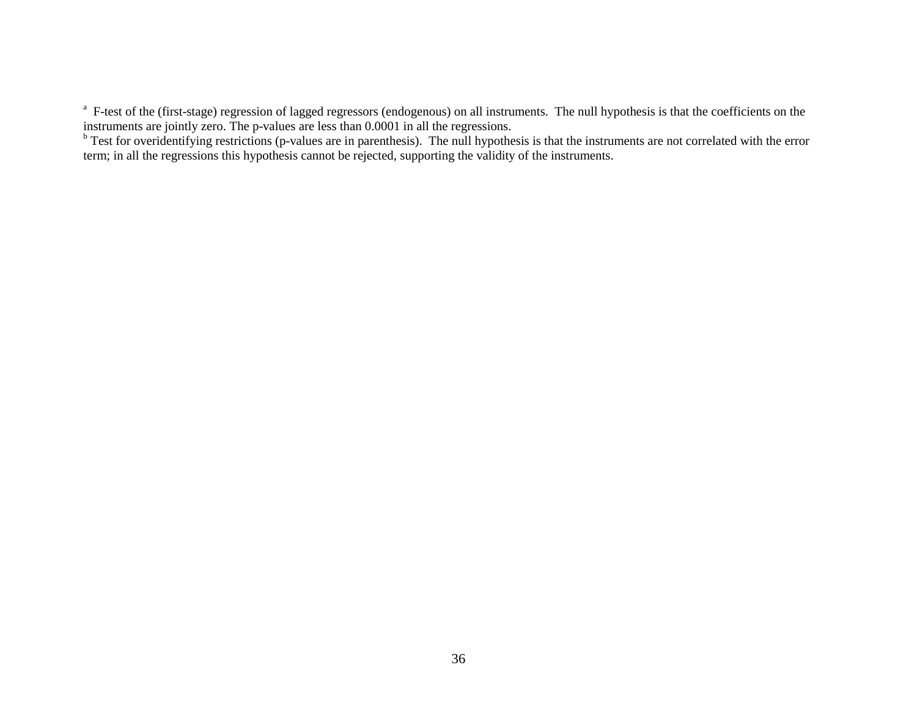<sup>a</sup> F-test of the (first-stage) regression of lagged regressors (endogenous) on all instruments. The null hypothesis is that the coefficients on the instruments are jointly zero. The p-values are less than 0.0001 in all the regressions.

 $\frac{b}{b}$  Test for overidentifying restrictions (p-values are in parenthesis). The null hypothesis is that the instruments are not correlated with the error term; in all the regressions this hypothesis cannot be rejected, supporting the validity of the instruments.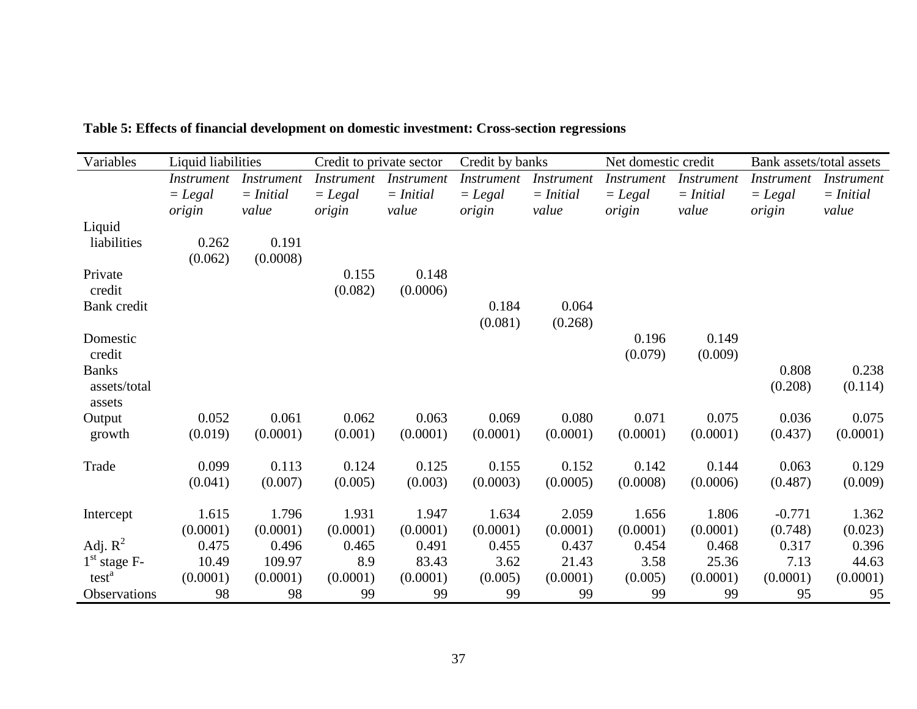| Variables         | Liquid liabilities |                   | Credit to private sector |                   | Credit by banks |                   | Net domestic credit |                   | Bank assets/total assets |                   |
|-------------------|--------------------|-------------------|--------------------------|-------------------|-----------------|-------------------|---------------------|-------------------|--------------------------|-------------------|
|                   | <i>Instrument</i>  | <i>Instrument</i> | <i>Instrument</i>        | <i>Instrument</i> | Instrument      | <i>Instrument</i> | <i>Instrument</i>   | <i>Instrument</i> | <i>Instrument</i>        | <i>Instrument</i> |
|                   | $=$ Legal          | $= Initial$       | $=$ Legal                | $= Initial$       | $=$ Legal       | $= Initial$       | $=$ Legal           | $= Initial$       | $=$ Legal                | $= Initial$       |
|                   | origin             | value             | origin                   | value             | origin          | value             | origin              | value             | origin                   | value             |
| Liquid            |                    |                   |                          |                   |                 |                   |                     |                   |                          |                   |
| liabilities       | 0.262              | 0.191             |                          |                   |                 |                   |                     |                   |                          |                   |
|                   | (0.062)            | (0.0008)          |                          |                   |                 |                   |                     |                   |                          |                   |
| Private           |                    |                   | 0.155                    | 0.148             |                 |                   |                     |                   |                          |                   |
| credit            |                    |                   | (0.082)                  | (0.0006)          |                 |                   |                     |                   |                          |                   |
| Bank credit       |                    |                   |                          |                   | 0.184           | 0.064             |                     |                   |                          |                   |
|                   |                    |                   |                          |                   | (0.081)         | (0.268)           |                     |                   |                          |                   |
| Domestic          |                    |                   |                          |                   |                 |                   | 0.196               | 0.149             |                          |                   |
| credit            |                    |                   |                          |                   |                 |                   | (0.079)             | (0.009)           |                          |                   |
| <b>Banks</b>      |                    |                   |                          |                   |                 |                   |                     |                   | 0.808                    | 0.238             |
| assets/total      |                    |                   |                          |                   |                 |                   |                     |                   | (0.208)                  | (0.114)           |
| assets            |                    |                   |                          |                   |                 |                   |                     |                   |                          |                   |
| Output            | 0.052              | 0.061             | 0.062                    | 0.063             | 0.069           | 0.080             | 0.071               | 0.075             | 0.036                    | 0.075             |
| growth            | (0.019)            | (0.0001)          | (0.001)                  | (0.0001)          | (0.0001)        | (0.0001)          | (0.0001)            | (0.0001)          | (0.437)                  | (0.0001)          |
| Trade             | 0.099              | 0.113             | 0.124                    | 0.125             | 0.155           | 0.152             | 0.142               | 0.144             | 0.063                    | 0.129             |
|                   | (0.041)            | (0.007)           | (0.005)                  | (0.003)           | (0.0003)        | (0.0005)          | (0.0008)            | (0.0006)          | (0.487)                  | (0.009)           |
|                   |                    |                   |                          |                   |                 |                   |                     |                   |                          |                   |
| Intercept         | 1.615              | 1.796             | 1.931                    | 1.947             | 1.634           | 2.059             | 1.656               | 1.806             | $-0.771$                 | 1.362             |
|                   | (0.0001)           | (0.0001)          | (0.0001)                 | (0.0001)          | (0.0001)        | (0.0001)          | (0.0001)            | (0.0001)          | (0.748)                  | (0.023)           |
| Adj. $R^2$        | 0.475              | 0.496             | 0.465                    | 0.491             | 0.455           | 0.437             | 0.454               | 0.468             | 0.317                    | 0.396             |
| $1st$ stage F-    | 10.49              | 109.97            | 8.9                      | 83.43             | 3.62            | 21.43             | 3.58                | 25.36             | 7.13                     | 44.63             |
| test <sup>a</sup> | (0.0001)           | (0.0001)          | (0.0001)                 | (0.0001)          | (0.005)         | (0.0001)          | (0.005)             | (0.0001)          | (0.0001)                 | (0.0001)          |
| Observations      | 98                 | 98                | 99                       | 99                | 99              | 99                | 99                  | 99                | 95                       | 95                |

**Table 5: Effects of financial development on domestic investment: Cross-section regressions**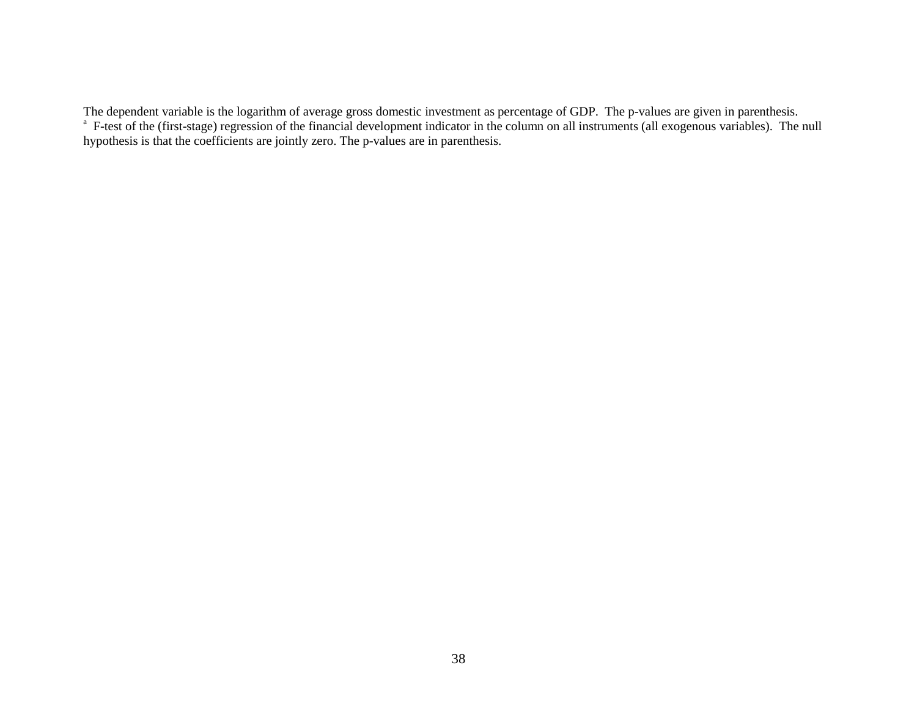The dependent variable is the logarithm of average gross domestic investment as percentage of GDP. The p-values are given in parenthesis. <sup>a</sup> F-test of the (first-stage) regression of the financial development indicator in the column on all instruments (all exogenous variables). The null hypothesis is that the coefficients are jointly zero. The p-values are in parenthesis.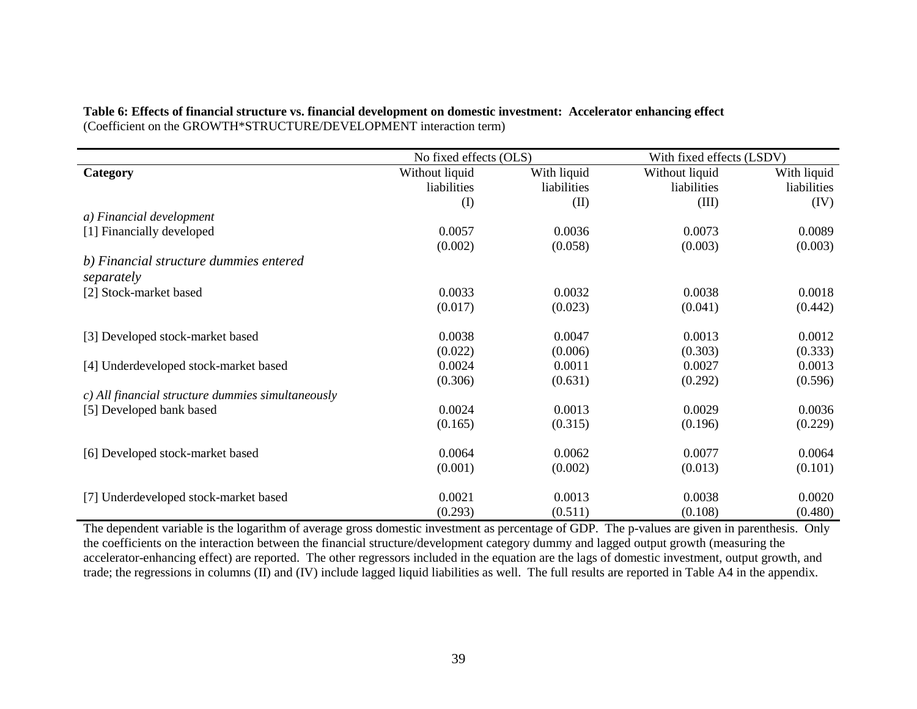|                                                   | No fixed effects (OLS) |             | With fixed effects (LSDV) |             |  |
|---------------------------------------------------|------------------------|-------------|---------------------------|-------------|--|
| Category                                          | Without liquid         | With liquid | Without liquid            | With liquid |  |
|                                                   | liabilities            | liabilities | liabilities               | liabilities |  |
|                                                   | $\rm (I)$              | (II)        | (III)                     | (IV)        |  |
| a) Financial development                          |                        |             |                           |             |  |
| [1] Financially developed                         | 0.0057                 | 0.0036      | 0.0073                    | 0.0089      |  |
|                                                   | (0.002)                | (0.058)     | (0.003)                   | (0.003)     |  |
| b) Financial structure dummies entered            |                        |             |                           |             |  |
| separately                                        |                        |             |                           |             |  |
| [2] Stock-market based                            | 0.0033                 | 0.0032      | 0.0038                    | 0.0018      |  |
|                                                   | (0.017)                | (0.023)     | (0.041)                   | (0.442)     |  |
|                                                   |                        |             |                           |             |  |
| [3] Developed stock-market based                  | 0.0038                 | 0.0047      | 0.0013                    | 0.0012      |  |
|                                                   | (0.022)                | (0.006)     | (0.303)                   | (0.333)     |  |
| [4] Underdeveloped stock-market based             | 0.0024                 | 0.0011      | 0.0027                    | 0.0013      |  |
|                                                   | (0.306)                | (0.631)     | (0.292)                   | (0.596)     |  |
| c) All financial structure dummies simultaneously |                        |             |                           |             |  |
| [5] Developed bank based                          | 0.0024                 | 0.0013      | 0.0029                    | 0.0036      |  |
|                                                   | (0.165)                | (0.315)     | (0.196)                   | (0.229)     |  |
| [6] Developed stock-market based                  | 0.0064                 | 0.0062      | 0.0077                    | 0.0064      |  |
|                                                   |                        |             |                           |             |  |
|                                                   | (0.001)                | (0.002)     | (0.013)                   | (0.101)     |  |
| [7] Underdeveloped stock-market based             | 0.0021                 | 0.0013      | 0.0038                    | 0.0020      |  |
|                                                   | (0.293)                | (0.511)     | (0.108)                   | (0.480)     |  |

**Table 6: Effects of financial structure vs. financial development on domestic investment: Accelerator enhancing effect**  (Coefficient on the GROWTH\*STRUCTURE/DEVELOPMENT interaction term)

The dependent variable is the logarithm of average gross domestic investment as percentage of GDP. The p-values are given in parenthesis. Only the coefficients on the interaction between the financial structure/development category dummy and lagged output growth (measuring the accelerator-enhancing effect) are reported. The other regressors included in the equation are the lags of domestic investment, output growth, and trade; the regressions in columns (II) and (IV) include lagged liquid liabilities as well. The full results are reported in Table A4 in the appendix.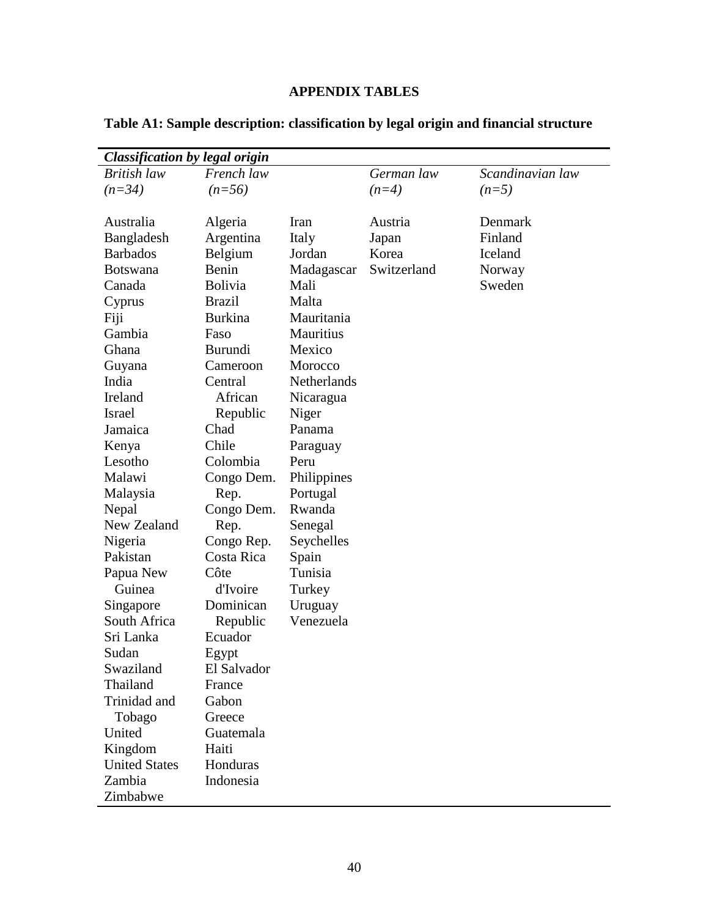## **APPENDIX TABLES**

| <b>Classification by legal origin</b> |                |             |             |                  |
|---------------------------------------|----------------|-------------|-------------|------------------|
| British law                           | French law     |             | German law  | Scandinavian law |
| $(n=34)$                              | $(n=56)$       |             | $(n=4)$     | $(n=5)$          |
|                                       |                |             |             |                  |
| Australia                             | Algeria        | Iran        | Austria     | Denmark          |
| Bangladesh                            | Argentina      | Italy       | Japan       | Finland          |
| <b>Barbados</b>                       | Belgium        | Jordan      | Korea       | Iceland          |
| <b>Botswana</b>                       | Benin          | Madagascar  | Switzerland | Norway           |
| Canada                                | <b>Bolivia</b> | Mali        |             | Sweden           |
| Cyprus                                | <b>Brazil</b>  | Malta       |             |                  |
| Fiji                                  | <b>Burkina</b> | Mauritania  |             |                  |
| Gambia                                | Faso           | Mauritius   |             |                  |
| Ghana                                 | <b>Burundi</b> | Mexico      |             |                  |
| Guyana                                | Cameroon       | Morocco     |             |                  |
| India                                 | Central        | Netherlands |             |                  |
| Ireland                               | African        | Nicaragua   |             |                  |
| Israel                                | Republic       | Niger       |             |                  |
| Jamaica                               | Chad           | Panama      |             |                  |
| Kenya                                 | Chile          | Paraguay    |             |                  |
| Lesotho                               | Colombia       | Peru        |             |                  |
| Malawi                                | Congo Dem.     | Philippines |             |                  |
| Malaysia                              | Rep.           | Portugal    |             |                  |
| Nepal                                 | Congo Dem.     | Rwanda      |             |                  |
| New Zealand                           | Rep.           | Senegal     |             |                  |
| Nigeria                               | Congo Rep.     | Seychelles  |             |                  |
| Pakistan                              | Costa Rica     | Spain       |             |                  |
| Papua New                             | Côte           | Tunisia     |             |                  |
| Guinea                                | d'Ivoire       | Turkey      |             |                  |
| Singapore                             | Dominican      | Uruguay     |             |                  |
| South Africa                          | Republic       | Venezuela   |             |                  |
| Sri Lanka                             | Ecuador        |             |             |                  |
| Sudan                                 | Egypt          |             |             |                  |
| Swaziland                             | El Salvador    |             |             |                  |
| Thailand                              | France         |             |             |                  |
| Trinidad and                          | Gabon          |             |             |                  |
| Tobago                                | Greece         |             |             |                  |
| United                                | Guatemala      |             |             |                  |
| Kingdom                               | Haiti          |             |             |                  |
| <b>United States</b>                  | Honduras       |             |             |                  |
| Zambia                                | Indonesia      |             |             |                  |
| Zimbabwe                              |                |             |             |                  |

**Table A1: Sample description: classification by legal origin and financial structure**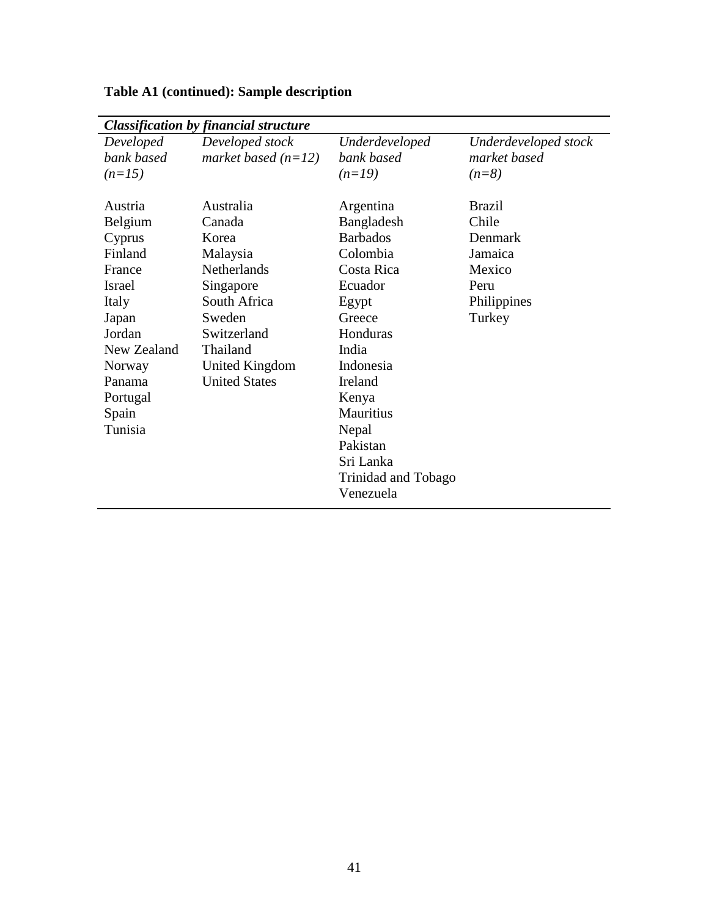|             | <b>Classification by financial structure</b> |                     |                      |
|-------------|----------------------------------------------|---------------------|----------------------|
| Developed   | Developed stock                              | Underdeveloped      | Underdeveloped stock |
| bank based  | market based $(n=12)$                        | bank based          | market based         |
| $(n=15)$    |                                              | $(n=19)$            | $(n=8)$              |
|             |                                              |                     |                      |
| Austria     | Australia                                    | Argentina           | <b>Brazil</b>        |
| Belgium     | Canada                                       | Bangladesh          | Chile                |
| Cyprus      | Korea                                        | <b>Barbados</b>     | Denmark              |
| Finland     | Malaysia                                     | Colombia            | Jamaica              |
| France      | <b>Netherlands</b>                           | Costa Rica          | Mexico               |
| Israel      | Singapore                                    | Ecuador             | Peru                 |
| Italy       | South Africa                                 | Egypt               | Philippines          |
| Japan       | Sweden                                       | Greece              | Turkey               |
| Jordan      | Switzerland                                  | Honduras            |                      |
| New Zealand | Thailand                                     | India               |                      |
| Norway      | United Kingdom                               | Indonesia           |                      |
| Panama      | <b>United States</b>                         | Ireland             |                      |
| Portugal    |                                              | Kenya               |                      |
| Spain       |                                              | Mauritius           |                      |
| Tunisia     |                                              | Nepal               |                      |
|             |                                              | Pakistan            |                      |
|             |                                              | Sri Lanka           |                      |
|             |                                              | Trinidad and Tobago |                      |
|             |                                              | Venezuela           |                      |
|             |                                              |                     |                      |

## **Table A1 (continued): Sample description**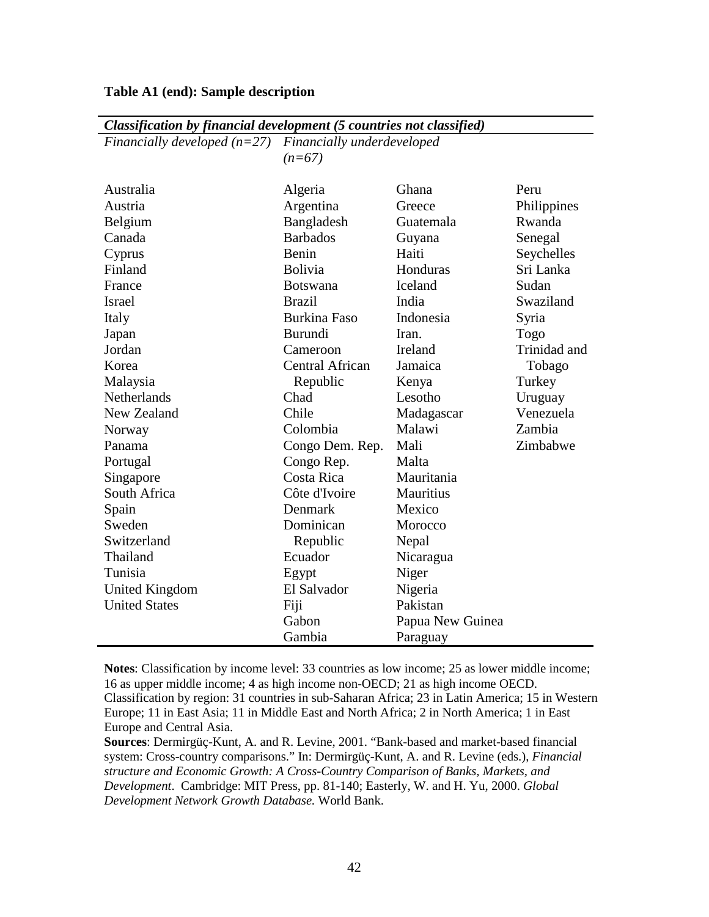| Financially developed $(n=27)$ | Financially underdeveloped |                  |              |  |  |
|--------------------------------|----------------------------|------------------|--------------|--|--|
|                                | $(n=67)$                   |                  |              |  |  |
|                                |                            |                  |              |  |  |
| Australia                      | Algeria                    | Ghana            | Peru         |  |  |
| Austria                        | Argentina                  | Greece           | Philippines  |  |  |
| Belgium                        | Bangladesh                 | Guatemala        | Rwanda       |  |  |
| Canada                         | <b>Barbados</b>            | Guyana           | Senegal      |  |  |
| Cyprus                         | Benin                      | Haiti            | Seychelles   |  |  |
| Finland                        | <b>Bolivia</b>             | Honduras         | Sri Lanka    |  |  |
| France                         | <b>Botswana</b>            | Iceland          | Sudan        |  |  |
| <b>Israel</b>                  | <b>Brazil</b>              | India            | Swaziland    |  |  |
| Italy                          | <b>Burkina Faso</b>        | Indonesia        | Syria        |  |  |
| Japan                          | <b>Burundi</b>             | Iran.            | Togo         |  |  |
| Jordan                         | Cameroon                   | Ireland          | Trinidad and |  |  |
| Korea                          | Central African            | Jamaica          | Tobago       |  |  |
| Malaysia                       | Republic                   | Kenya            | Turkey       |  |  |
| <b>Netherlands</b>             | Chad                       | Lesotho          | Uruguay      |  |  |
| New Zealand                    | Chile                      | Madagascar       | Venezuela    |  |  |
| Norway                         | Colombia                   | Malawi           | Zambia       |  |  |
| Panama                         | Congo Dem. Rep.            | Mali             | Zimbabwe     |  |  |
| Portugal                       | Congo Rep.                 | Malta            |              |  |  |
| Singapore                      | Costa Rica                 | Mauritania       |              |  |  |
| South Africa                   | Côte d'Ivoire              | Mauritius        |              |  |  |
| Spain                          | Denmark                    | Mexico           |              |  |  |
| Sweden                         | Dominican                  | Morocco          |              |  |  |
| Switzerland                    | Republic                   | Nepal            |              |  |  |
| Thailand                       | Ecuador                    | Nicaragua        |              |  |  |
| Tunisia                        | Egypt                      | Niger            |              |  |  |
| United Kingdom                 | El Salvador                | Nigeria          |              |  |  |
| <b>United States</b>           | Fiji                       | Pakistan         |              |  |  |
|                                | Gabon                      | Papua New Guinea |              |  |  |
|                                | Gambia                     | Paraguay         |              |  |  |

*Classification by financial development (5 countries not classified)* 

**Notes**: Classification by income level: 33 countries as low income; 25 as lower middle income; 16 as upper middle income; 4 as high income non-OECD; 21 as high income OECD. Classification by region: 31 countries in sub-Saharan Africa; 23 in Latin America; 15 in Western Europe; 11 in East Asia; 11 in Middle East and North Africa; 2 in North America; 1 in East Europe and Central Asia.

**Sources**: Dermirgüç-Kunt, A. and R. Levine, 2001. "Bank-based and market-based financial system: Cross-country comparisons." In: Dermirgüç-Kunt, A. and R. Levine (eds.), *Financial structure and Economic Growth: A Cross-Country Comparison of Banks, Markets, and Development*. Cambridge: MIT Press, pp. 81-140; Easterly, W. and H. Yu, 2000. *Global Development Network Growth Database.* World Bank.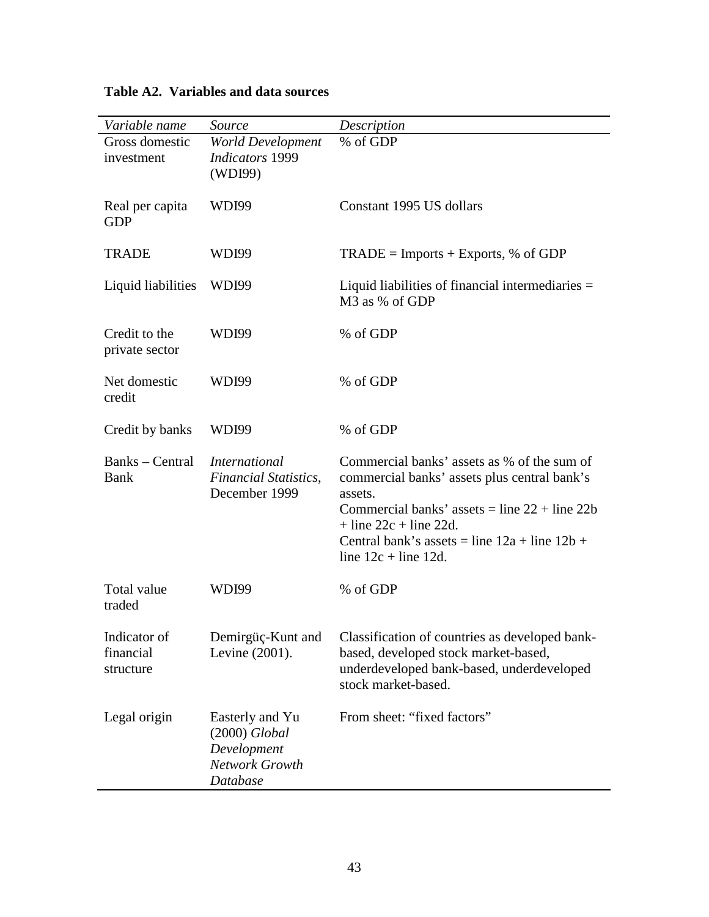| Variable name                          | Source                                                                          | Description                                                                                                                                                                                                                                                           |
|----------------------------------------|---------------------------------------------------------------------------------|-----------------------------------------------------------------------------------------------------------------------------------------------------------------------------------------------------------------------------------------------------------------------|
| Gross domestic<br>investment           | <b>World Development</b><br><b>Indicators</b> 1999<br>(WDI99)                   | % of GDP                                                                                                                                                                                                                                                              |
| Real per capita<br><b>GDP</b>          | <b>WDI99</b>                                                                    | Constant 1995 US dollars                                                                                                                                                                                                                                              |
| <b>TRADE</b>                           | WDI99                                                                           | $TRADE = Imports + Express, % of GDP$                                                                                                                                                                                                                                 |
| Liquid liabilities                     | WDI99                                                                           | Liquid liabilities of financial intermediaries =<br>M3 as % of GDP                                                                                                                                                                                                    |
| Credit to the<br>private sector        | <b>WDI99</b>                                                                    | % of GDP                                                                                                                                                                                                                                                              |
| Net domestic<br>credit                 | <b>WDI99</b>                                                                    | % of GDP                                                                                                                                                                                                                                                              |
| Credit by banks                        | <b>WDI99</b>                                                                    | % of GDP                                                                                                                                                                                                                                                              |
| Banks – Central<br><b>Bank</b>         | <i>International</i><br><b>Financial Statistics,</b><br>December 1999           | Commercial banks' assets as % of the sum of<br>commercial banks' assets plus central bank's<br>assets.<br>Commercial banks' assets = line $22 +$ line $22b$<br>$+$ line 22c + line 22d.<br>Central bank's assets = line $12a + line 12b +$<br>line $12c + line 12d$ . |
| Total value<br>traded                  | <b>WDI99</b>                                                                    | % of GDP                                                                                                                                                                                                                                                              |
| Indicator of<br>financial<br>structure | Demirgüç-Kunt and<br>Levine (2001).                                             | Classification of countries as developed bank-<br>based, developed stock market-based,<br>underdeveloped bank-based, underdeveloped<br>stock market-based.                                                                                                            |
| Legal origin                           | Easterly and Yu<br>$(2000)$ Global<br>Development<br>Network Growth<br>Database | From sheet: "fixed factors"                                                                                                                                                                                                                                           |

**Table A2. Variables and data sources**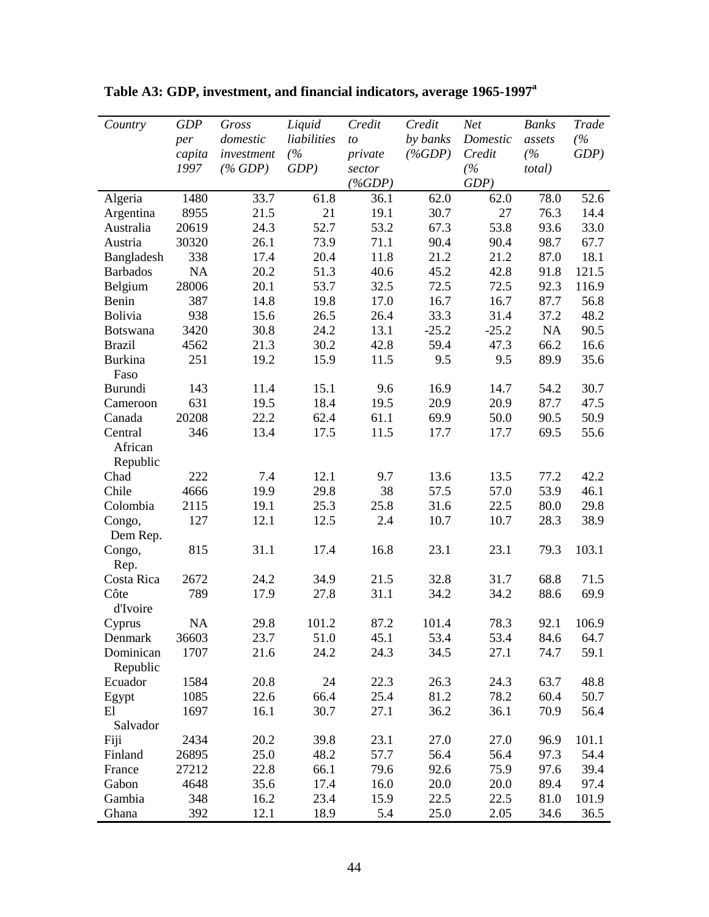| Country         | <b>GDP</b> | Gross      | Liquid      | Credit    | Credit    | Net      | <b>Banks</b>   | Trade   |
|-----------------|------------|------------|-------------|-----------|-----------|----------|----------------|---------|
|                 | per        | domestic   | liabilities | to        | by banks  | Domestic | assets         | (%      |
|                 | capita     | investment | (%          | private   | $(\%GDP)$ | Credit   | (%             | $GDP$ ) |
|                 | 1997       | $(\%$ GDP) | $GDP$ )     | sector    |           | (%       | <i>total</i> ) |         |
|                 |            |            |             | $(\%GDP)$ |           | GDP      |                |         |
| Algeria         | 1480       | 33.7       | 61.8        | 36.1      | 62.0      | 62.0     | 78.0           | 52.6    |
| Argentina       | 8955       | 21.5       | 21          | 19.1      | 30.7      | 27       | 76.3           | 14.4    |
| Australia       | 20619      | 24.3       | 52.7        | 53.2      | 67.3      | 53.8     | 93.6           | 33.0    |
| Austria         | 30320      | 26.1       | 73.9        | 71.1      | 90.4      | 90.4     | 98.7           | 67.7    |
| Bangladesh      | 338        | 17.4       | 20.4        | 11.8      | 21.2      | 21.2     | 87.0           | 18.1    |
| <b>Barbados</b> | NA         | 20.2       | 51.3        | 40.6      | 45.2      | 42.8     | 91.8           | 121.5   |
| Belgium         | 28006      | 20.1       | 53.7        | 32.5      | 72.5      | 72.5     | 92.3           | 116.9   |
| Benin           | 387        | 14.8       | 19.8        | 17.0      | 16.7      | 16.7     | 87.7           | 56.8    |
| Bolivia         | 938        | 15.6       | 26.5        | 26.4      | 33.3      | 31.4     | 37.2           | 48.2    |
| <b>Botswana</b> | 3420       | 30.8       | 24.2        | 13.1      | $-25.2$   | $-25.2$  | <b>NA</b>      | 90.5    |
| <b>Brazil</b>   | 4562       | 21.3       | 30.2        | 42.8      | 59.4      | 47.3     | 66.2           | 16.6    |
| Burkina         | 251        | 19.2       | 15.9        | 11.5      | 9.5       | 9.5      | 89.9           | 35.6    |
| Faso            |            |            |             |           |           |          |                |         |
| Burundi         | 143        | 11.4       | 15.1        | 9.6       | 16.9      | 14.7     | 54.2           | 30.7    |
| Cameroon        | 631        | 19.5       | 18.4        | 19.5      | 20.9      | 20.9     | 87.7           | 47.5    |
| Canada          | 20208      | 22.2       | 62.4        | 61.1      | 69.9      | 50.0     | 90.5           | 50.9    |
| Central         | 346        | 13.4       | 17.5        | 11.5      | 17.7      | 17.7     | 69.5           | 55.6    |
| African         |            |            |             |           |           |          |                |         |
| Republic        |            |            |             |           |           |          |                |         |
| Chad            | 222        | 7.4        | 12.1        | 9.7       | 13.6      | 13.5     | 77.2           | 42.2    |
| Chile           | 4666       | 19.9       | 29.8        | 38        | 57.5      | 57.0     | 53.9           | 46.1    |
| Colombia        | 2115       | 19.1       | 25.3        | 25.8      | 31.6      | 22.5     | 80.0           | 29.8    |
| Congo,          | 127        | 12.1       | 12.5        | 2.4       | 10.7      | 10.7     | 28.3           | 38.9    |
| Dem Rep.        |            |            |             |           |           |          |                |         |
| Congo,          | 815        | 31.1       | 17.4        | 16.8      | 23.1      | 23.1     | 79.3           | 103.1   |
| Rep.            |            |            |             |           |           |          |                |         |
| Costa Rica      | 2672       | 24.2       | 34.9        | 21.5      | 32.8      | 31.7     | 68.8           | 71.5    |
| Côte            | 789        | 17.9       | 27.8        | 31.1      | 34.2      | 34.2     | 88.6           | 69.9    |
| d'Ivoire        |            |            |             |           |           |          |                |         |
| Cyprus          | <b>NA</b>  | 29.8       | 101.2       | 87.2      | 101.4     | 78.3     | 92.1           | 106.9   |
| Denmark         | 36603      | 23.7       | 51.0        | 45.1      | 53.4      | 53.4     | 84.6           | 64.7    |
| Dominican       | 1707       | 21.6       | 24.2        | 24.3      | 34.5      | 27.1     | 74.7           | 59.1    |
| Republic        |            |            |             |           |           |          |                |         |
| Ecuador         | 1584       | 20.8       | 24          | 22.3      | 26.3      | 24.3     | 63.7           | 48.8    |
| Egypt           | 1085       | 22.6       | 66.4        | 25.4      | 81.2      | 78.2     | 60.4           | 50.7    |
| E1              | 1697       | 16.1       | 30.7        | 27.1      | 36.2      | 36.1     | 70.9           | 56.4    |
| Salvador        |            |            |             |           |           |          |                |         |
| Fiji            | 2434       | 20.2       | 39.8        | 23.1      | 27.0      | 27.0     | 96.9           | 101.1   |
| Finland         | 26895      | 25.0       | 48.2        | 57.7      | 56.4      | 56.4     | 97.3           | 54.4    |
| France          | 27212      | 22.8       | 66.1        | 79.6      | 92.6      | 75.9     | 97.6           | 39.4    |
| Gabon           | 4648       | 35.6       | 17.4        | 16.0      | 20.0      | 20.0     | 89.4           | 97.4    |
| Gambia          | 348        | 16.2       | 23.4        | 15.9      | 22.5      | 22.5     | 81.0           | 101.9   |
| Ghana           | 392        | 12.1       | 18.9        | 5.4       | 25.0      | 2.05     | 34.6           | 36.5    |

**Table A3: GDP, investment, and financial indicators, average 1965-1997a**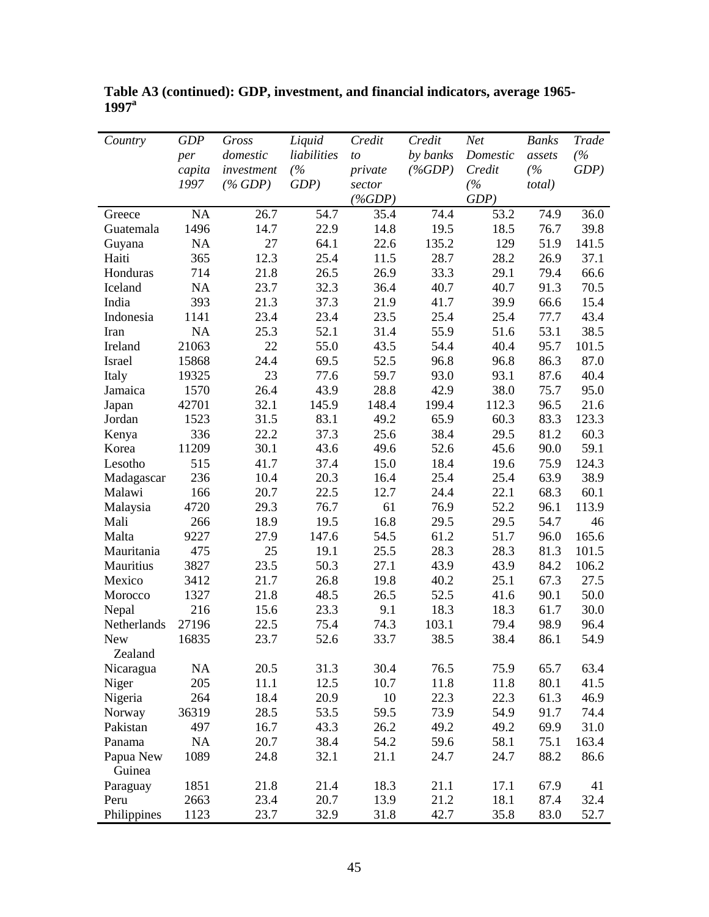| Country               | <b>GDP</b> | Gross      | Liquid      | Credit    | Credit    | Net      | <b>Banks</b>   | Trade   |
|-----------------------|------------|------------|-------------|-----------|-----------|----------|----------------|---------|
|                       | per        | domestic   | liabilities | to        | by banks  | Domestic | assets         | (%      |
|                       | capita     | investment | (%          | private   | $(\%GDP)$ | Credit   | (%             | $GDP$ ) |
|                       | 1997       | $(\%$ GDP) | GDP         | sector    |           | (%       | <i>total</i> ) |         |
|                       |            |            |             | $(\%GDP)$ |           | GDP      |                |         |
| Greece                | NA         | 26.7       | 54.7        | 35.4      | 74.4      | 53.2     | 74.9           | 36.0    |
| Guatemala             | 1496       | 14.7       | 22.9        | 14.8      | 19.5      | 18.5     | 76.7           | 39.8    |
| Guyana                | NA         | 27         | 64.1        | 22.6      | 135.2     | 129      | 51.9           | 141.5   |
| Haiti                 | 365        | 12.3       | 25.4        | 11.5      | 28.7      | 28.2     | 26.9           | 37.1    |
| Honduras              | 714        | 21.8       | 26.5        | 26.9      | 33.3      | 29.1     | 79.4           | 66.6    |
| Iceland               | NA         | 23.7       | 32.3        | 36.4      | 40.7      | 40.7     | 91.3           | 70.5    |
| India                 | 393        | 21.3       | 37.3        | 21.9      | 41.7      | 39.9     | 66.6           | 15.4    |
| Indonesia             | 1141       | 23.4       | 23.4        | 23.5      | 25.4      | 25.4     | 77.7           | 43.4    |
| Iran                  | NA         | 25.3       | 52.1        | 31.4      | 55.9      | 51.6     | 53.1           | 38.5    |
| Ireland               | 21063      | 22         | 55.0        | 43.5      | 54.4      | 40.4     | 95.7           | 101.5   |
| Israel                | 15868      | 24.4       | 69.5        | 52.5      | 96.8      | 96.8     | 86.3           | 87.0    |
| Italy                 | 19325      | 23         | 77.6        | 59.7      | 93.0      | 93.1     | 87.6           | 40.4    |
| Jamaica               | 1570       | 26.4       | 43.9        | 28.8      | 42.9      | 38.0     | 75.7           | 95.0    |
| Japan                 | 42701      | 32.1       | 145.9       | 148.4     | 199.4     | 112.3    | 96.5           | 21.6    |
| Jordan                | 1523       | 31.5       | 83.1        | 49.2      | 65.9      | 60.3     | 83.3           | 123.3   |
| Kenya                 | 336        | 22.2       | 37.3        | 25.6      | 38.4      | 29.5     | 81.2           | 60.3    |
| Korea                 | 11209      | 30.1       | 43.6        | 49.6      | 52.6      | 45.6     | 90.0           | 59.1    |
| Lesotho               | 515        | 41.7       | 37.4        | 15.0      | 18.4      | 19.6     | 75.9           | 124.3   |
| Madagascar            | 236        | 10.4       | 20.3        | 16.4      | 25.4      | 25.4     | 63.9           | 38.9    |
| Malawi                | 166        | 20.7       | 22.5        | 12.7      | 24.4      | 22.1     | 68.3           | 60.1    |
| Malaysia              | 4720       | 29.3       | 76.7        | 61        | 76.9      | 52.2     | 96.1           | 113.9   |
| Mali                  | 266        | 18.9       | 19.5        | 16.8      | 29.5      | 29.5     | 54.7           | 46      |
| Malta                 | 9227       | 27.9       | 147.6       | 54.5      | 61.2      | 51.7     | 96.0           | 165.6   |
| Mauritania            | 475        | 25         | 19.1        | 25.5      | 28.3      | 28.3     | 81.3           | 101.5   |
| Mauritius             | 3827       | 23.5       | 50.3        | 27.1      | 43.9      | 43.9     | 84.2           | 106.2   |
| Mexico                | 3412       | 21.7       | 26.8        | 19.8      | 40.2      | 25.1     | 67.3           | 27.5    |
| Morocco               | 1327       | 21.8       | 48.5        | 26.5      | 52.5      | 41.6     | 90.1           | 50.0    |
| Nepal                 | 216        | 15.6       | 23.3        | 9.1       | 18.3      | 18.3     | 61.7           | 30.0    |
| Netherlands           | 27196      | 22.5       | 75.4        | 74.3      | 103.1     | 79.4     | 98.9           | 96.4    |
| <b>New</b><br>Zealand | 16835      | 23.7       | 52.6        | 33.7      | 38.5      | 38.4     | 86.1           | 54.9    |
| Nicaragua             | <b>NA</b>  | 20.5       | 31.3        | 30.4      | 76.5      | 75.9     | 65.7           | 63.4    |
| Niger                 | 205        | 11.1       | 12.5        | 10.7      | 11.8      | 11.8     | 80.1           | 41.5    |
| Nigeria               | 264        | 18.4       | 20.9        | 10        | 22.3      | 22.3     | 61.3           | 46.9    |
| Norway                | 36319      | 28.5       | 53.5        | 59.5      | 73.9      | 54.9     | 91.7           | 74.4    |
| Pakistan              | 497        | 16.7       | 43.3        | 26.2      | 49.2      | 49.2     | 69.9           | 31.0    |
| Panama                | NA         | 20.7       | 38.4        | 54.2      | 59.6      | 58.1     | 75.1           | 163.4   |
| Papua New             | 1089       | 24.8       | 32.1        | 21.1      | 24.7      | 24.7     | 88.2           | 86.6    |
| Guinea                |            |            |             |           |           |          |                |         |
| Paraguay              | 1851       | 21.8       | 21.4        | 18.3      | 21.1      | 17.1     | 67.9           | 41      |
| Peru                  | 2663       | 23.4       | 20.7        | 13.9      | 21.2      | 18.1     | 87.4           | 32.4    |
| Philippines           | 1123       | 23.7       | 32.9        | 31.8      | 42.7      | 35.8     | 83.0           | 52.7    |

**Table A3 (continued): GDP, investment, and financial indicators, average 1965- 1997a**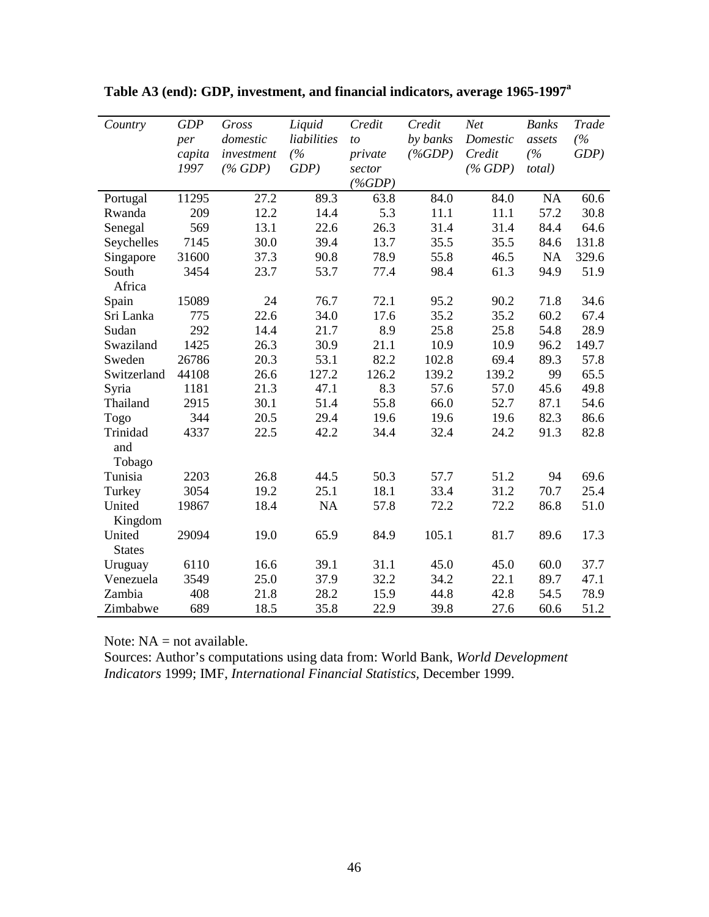| Country       | <b>GDP</b> | Gross      | Liquid      | Credit    | Credit    | <b>Net</b> | <b>Banks</b> | Trade   |
|---------------|------------|------------|-------------|-----------|-----------|------------|--------------|---------|
|               | per        | domestic   | liabilities | to        | by banks  | Domestic   | assets       | (%      |
|               | capita     | investment | (%          | private   | $(\%GDP)$ | Credit     | (%           | $GDP$ ) |
|               | 1997       | $(\%$ GDP) | $GDP$ )     | sector    |           | $(\%$ GDP) | total)       |         |
|               |            |            |             | $(\%GDP)$ |           |            |              |         |
| Portugal      | 11295      | 27.2       | 89.3        | 63.8      | 84.0      | 84.0       | <b>NA</b>    | 60.6    |
| Rwanda        | 209        | 12.2       | 14.4        | 5.3       | 11.1      | 11.1       | 57.2         | 30.8    |
| Senegal       | 569        | 13.1       | 22.6        | 26.3      | 31.4      | 31.4       | 84.4         | 64.6    |
| Seychelles    | 7145       | 30.0       | 39.4        | 13.7      | 35.5      | 35.5       | 84.6         | 131.8   |
| Singapore     | 31600      | 37.3       | 90.8        | 78.9      | 55.8      | 46.5       | NA           | 329.6   |
| South         | 3454       | 23.7       | 53.7        | 77.4      | 98.4      | 61.3       | 94.9         | 51.9    |
| Africa        |            |            |             |           |           |            |              |         |
| Spain         | 15089      | 24         | 76.7        | 72.1      | 95.2      | 90.2       | 71.8         | 34.6    |
| Sri Lanka     | 775        | 22.6       | 34.0        | 17.6      | 35.2      | 35.2       | 60.2         | 67.4    |
| Sudan         | 292        | 14.4       | 21.7        | 8.9       | 25.8      | 25.8       | 54.8         | 28.9    |
| Swaziland     | 1425       | 26.3       | 30.9        | 21.1      | 10.9      | 10.9       | 96.2         | 149.7   |
| Sweden        | 26786      | 20.3       | 53.1        | 82.2      | 102.8     | 69.4       | 89.3         | 57.8    |
| Switzerland   | 44108      | 26.6       | 127.2       | 126.2     | 139.2     | 139.2      | 99           | 65.5    |
| Syria         | 1181       | 21.3       | 47.1        | 8.3       | 57.6      | 57.0       | 45.6         | 49.8    |
| Thailand      | 2915       | 30.1       | 51.4        | 55.8      | 66.0      | 52.7       | 87.1         | 54.6    |
| Togo          | 344        | 20.5       | 29.4        | 19.6      | 19.6      | 19.6       | 82.3         | 86.6    |
| Trinidad      | 4337       | 22.5       | 42.2        | 34.4      | 32.4      | 24.2       | 91.3         | 82.8    |
| and           |            |            |             |           |           |            |              |         |
| Tobago        |            |            |             |           |           |            |              |         |
| Tunisia       | 2203       | 26.8       | 44.5        | 50.3      | 57.7      | 51.2       | 94           | 69.6    |
| Turkey        | 3054       | 19.2       | 25.1        | 18.1      | 33.4      | 31.2       | 70.7         | 25.4    |
| United        | 19867      | 18.4       | <b>NA</b>   | 57.8      | 72.2      | 72.2       | 86.8         | 51.0    |
| Kingdom       |            |            |             |           |           |            |              |         |
| United        | 29094      | 19.0       | 65.9        | 84.9      | 105.1     | 81.7       | 89.6         | 17.3    |
| <b>States</b> |            |            |             |           |           |            |              |         |
| Uruguay       | 6110       | 16.6       | 39.1        | 31.1      | 45.0      | 45.0       | 60.0         | 37.7    |
| Venezuela     | 3549       | 25.0       | 37.9        | 32.2      | 34.2      | 22.1       | 89.7         | 47.1    |
| Zambia        | 408        | 21.8       | 28.2        | 15.9      | 44.8      | 42.8       | 54.5         | 78.9    |
| Zimbabwe      | 689        | 18.5       | 35.8        | 22.9      | 39.8      | 27.6       | 60.6         | 51.2    |

**Table A3 (end): GDP, investment, and financial indicators, average 1965-1997a**

Note: NA = not available.

Sources: Author's computations using data from: World Bank, *World Development Indicators* 1999; IMF, *International Financial Statistics,* December 1999.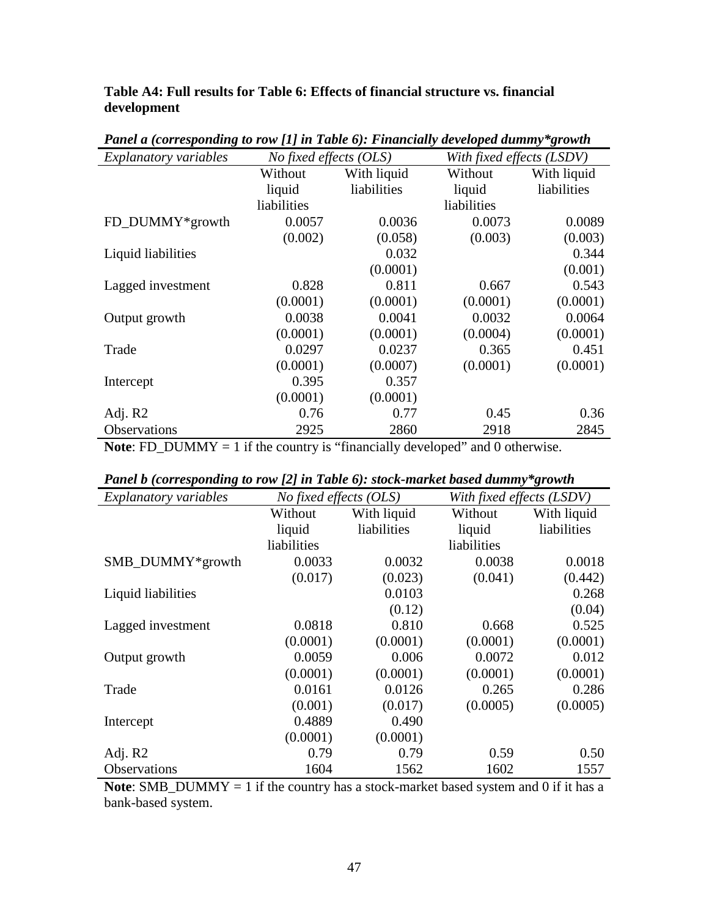**Table A4: Full results for Table 6: Effects of financial structure vs. financial development** 

| <b>Explanatory variables</b> | <i>No fixed effects <math>(OLS)</math></i> |             |             | With fixed effects (LSDV) |  |  |
|------------------------------|--------------------------------------------|-------------|-------------|---------------------------|--|--|
|                              | Without                                    | With liquid | Without     | With liquid               |  |  |
|                              | liquid                                     | liabilities | liquid      | liabilities               |  |  |
|                              | liabilities                                |             | liabilities |                           |  |  |
| FD_DUMMY*growth              | 0.0057                                     | 0.0036      | 0.0073      | 0.0089                    |  |  |
|                              | (0.002)                                    | (0.058)     | (0.003)     | (0.003)                   |  |  |
| Liquid liabilities           |                                            | 0.032       |             | 0.344                     |  |  |
|                              |                                            | (0.0001)    |             | (0.001)                   |  |  |
| Lagged investment            | 0.828                                      | 0.811       | 0.667       | 0.543                     |  |  |
|                              | (0.0001)                                   | (0.0001)    | (0.0001)    | (0.0001)                  |  |  |
| Output growth                | 0.0038                                     | 0.0041      | 0.0032      | 0.0064                    |  |  |
|                              | (0.0001)                                   | (0.0001)    | (0.0004)    | (0.0001)                  |  |  |
| Trade                        | 0.0297                                     | 0.0237      | 0.365       | 0.451                     |  |  |
|                              | (0.0001)                                   | (0.0007)    | (0.0001)    | (0.0001)                  |  |  |
| Intercept                    | 0.395                                      | 0.357       |             |                           |  |  |
|                              | (0.0001)                                   | (0.0001)    |             |                           |  |  |
| Adj. R2                      | 0.76                                       | 0.77        | 0.45        | 0.36                      |  |  |
| Observations                 | 2925                                       | 2860        | 2918        | 2845                      |  |  |

*Panel a (corresponding to row [1] in Table 6): Financially developed dummy\*growth* 

**Note**: FD\_DUMMY = 1 if the country is "financially developed" and 0 otherwise.

| $\sqrt{2}$<br>$\sim$ $\sim$ $\sim$ $\sim$ $\sim$ |                        |             |                           |             |  |  |  |
|--------------------------------------------------|------------------------|-------------|---------------------------|-------------|--|--|--|
| Explanatory variables                            | No fixed effects (OLS) |             | With fixed effects (LSDV) |             |  |  |  |
|                                                  | Without                | With liquid | Without                   | With liquid |  |  |  |
|                                                  | liquid                 | liabilities | liquid                    | liabilities |  |  |  |
|                                                  | liabilities            |             | liabilities               |             |  |  |  |
| SMB_DUMMY*growth                                 | 0.0033                 | 0.0032      | 0.0038                    | 0.0018      |  |  |  |
|                                                  | (0.017)                | (0.023)     | (0.041)                   | (0.442)     |  |  |  |
| Liquid liabilities                               |                        | 0.0103      |                           | 0.268       |  |  |  |
|                                                  |                        | (0.12)      |                           | (0.04)      |  |  |  |
| Lagged investment                                | 0.0818                 | 0.810       | 0.668                     | 0.525       |  |  |  |
|                                                  | (0.0001)               | (0.0001)    | (0.0001)                  | (0.0001)    |  |  |  |
| Output growth                                    | 0.0059                 | 0.006       | 0.0072                    | 0.012       |  |  |  |
|                                                  | (0.0001)               | (0.0001)    | (0.0001)                  | (0.0001)    |  |  |  |
| Trade                                            | 0.0161                 | 0.0126      | 0.265                     | 0.286       |  |  |  |
|                                                  | (0.001)                | (0.017)     | (0.0005)                  | (0.0005)    |  |  |  |
| Intercept                                        | 0.4889                 | 0.490       |                           |             |  |  |  |
|                                                  | (0.0001)               | (0.0001)    |                           |             |  |  |  |
| Adj. R2                                          | 0.79                   | 0.79        | 0.59                      | 0.50        |  |  |  |
| Observations                                     | 1604                   | 1562        | 1602                      | 1557        |  |  |  |

| Panel b (corresponding to row [2] in Table 6): stock-market based dummy*growth |  |  |  |  |  |  |
|--------------------------------------------------------------------------------|--|--|--|--|--|--|
|--------------------------------------------------------------------------------|--|--|--|--|--|--|

**Note**: SMB\_DUMMY = 1 if the country has a stock-market based system and 0 if it has a bank-based system.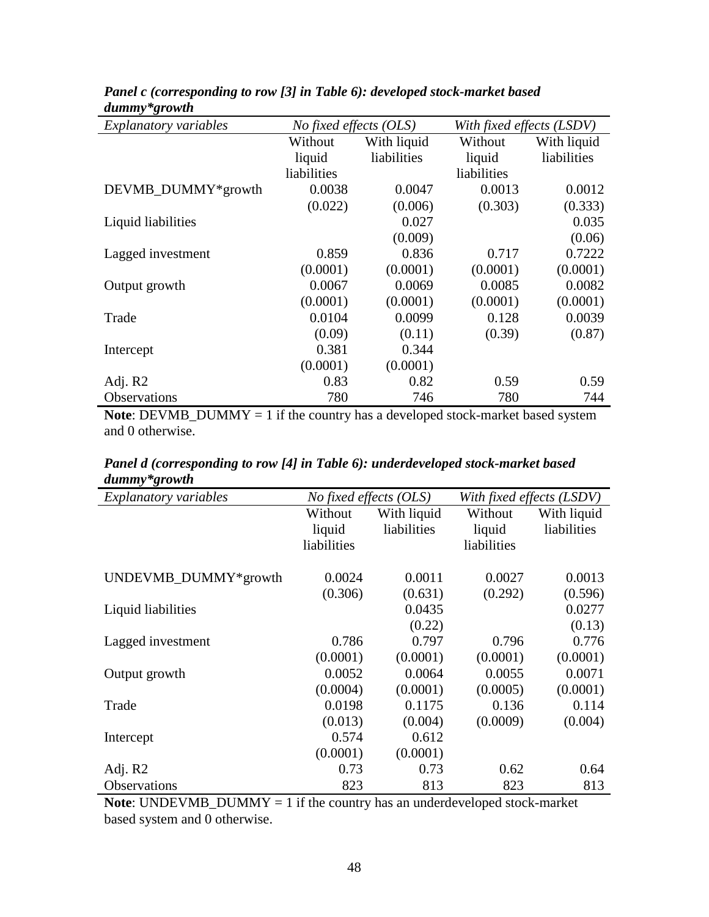| <b>Explanatory variables</b> | No fixed effects (OLS) |             | With fixed effects (LSDV) |             |
|------------------------------|------------------------|-------------|---------------------------|-------------|
|                              | Without                | With liquid | Without                   | With liquid |
|                              | liquid                 | liabilities | liquid                    | liabilities |
|                              | liabilities            |             | liabilities               |             |
| DEVMB_DUMMY*growth           | 0.0038                 | 0.0047      | 0.0013                    | 0.0012      |
|                              | (0.022)                | (0.006)     | (0.303)                   | (0.333)     |
| Liquid liabilities           |                        | 0.027       |                           | 0.035       |
|                              |                        | (0.009)     |                           | (0.06)      |
| Lagged investment            | 0.859                  | 0.836       | 0.717                     | 0.7222      |
|                              | (0.0001)               | (0.0001)    | (0.0001)                  | (0.0001)    |
| Output growth                | 0.0067                 | 0.0069      | 0.0085                    | 0.0082      |
|                              | (0.0001)               | (0.0001)    | (0.0001)                  | (0.0001)    |
| Trade                        | 0.0104                 | 0.0099      | 0.128                     | 0.0039      |
|                              | (0.09)                 | (0.11)      | (0.39)                    | (0.87)      |
| Intercept                    | 0.381                  | 0.344       |                           |             |
|                              | (0.0001)               | (0.0001)    |                           |             |
| Adj. R2                      | 0.83                   | 0.82        | 0.59                      | 0.59        |
| Observations                 | 780                    | 746         | 780                       | 744         |

*Panel c (corresponding to row [3] in Table 6): developed stock-market based dummy\*growth* 

**Note**: DEVMB\_DUMMY = 1 if the country has a developed stock-market based system and 0 otherwise.

| Panel d (corresponding to row [4] in Table 6): underdeveloped stock-market based |  |  |
|----------------------------------------------------------------------------------|--|--|
| $d$ ummy*growth                                                                  |  |  |

| aanony sivirin<br>Explanatory variables | <i>No fixed effects (OLS)</i> |             | With fixed effects (LSDV) |             |
|-----------------------------------------|-------------------------------|-------------|---------------------------|-------------|
|                                         | Without                       | With liquid | Without                   | With liquid |
|                                         | liquid                        | liabilities | liquid                    | liabilities |
|                                         | liabilities                   |             | liabilities               |             |
|                                         |                               |             |                           |             |
| UNDEVMB_DUMMY*growth                    | 0.0024                        | 0.0011      | 0.0027                    | 0.0013      |
|                                         | (0.306)                       | (0.631)     | (0.292)                   | (0.596)     |
| Liquid liabilities                      |                               | 0.0435      |                           | 0.0277      |
|                                         |                               | (0.22)      |                           | (0.13)      |
| Lagged investment                       | 0.786                         | 0.797       | 0.796                     | 0.776       |
|                                         | (0.0001)                      | (0.0001)    | (0.0001)                  | (0.0001)    |
| Output growth                           | 0.0052                        | 0.0064      | 0.0055                    | 0.0071      |
|                                         | (0.0004)                      | (0.0001)    | (0.0005)                  | (0.0001)    |
| Trade                                   | 0.0198                        | 0.1175      | 0.136                     | 0.114       |
|                                         | (0.013)                       | (0.004)     | (0.0009)                  | (0.004)     |
| Intercept                               | 0.574                         | 0.612       |                           |             |
|                                         | (0.0001)                      | (0.0001)    |                           |             |
| Adj. R2                                 | 0.73                          | 0.73        | 0.62                      | 0.64        |
| Observations                            | 823                           | 813         | 823                       | 813         |

**Note:** UNDEVMB\_DUMMY = 1 if the country has an underdeveloped stock-market based system and 0 otherwise.